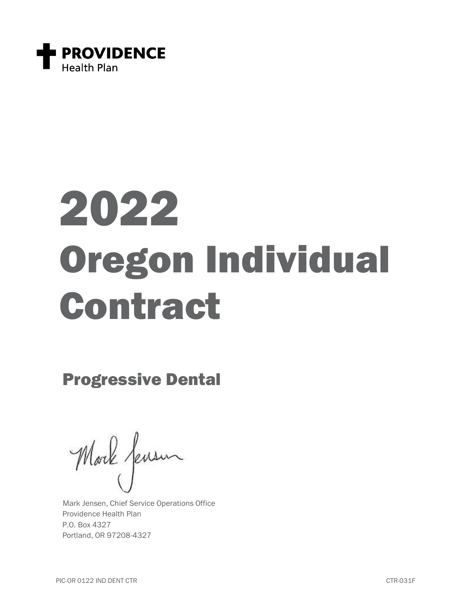

# 2022 Oregon Individual Contract

Progressive Dental

Morle fensur

Mark Jensen, Chief Service Operations Office Providence Health Plan P.O. Box 4327 Portland, OR 97208-4327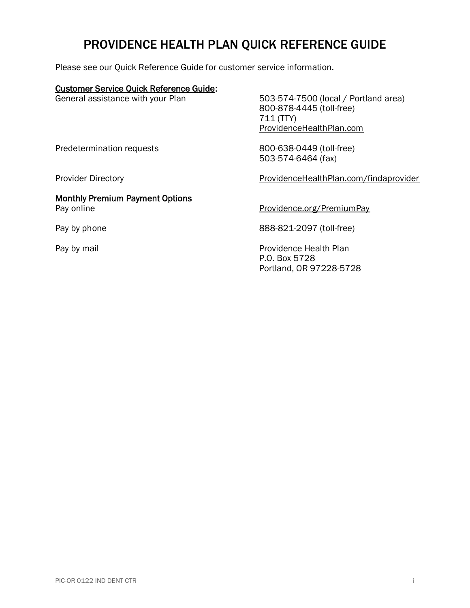# PROVIDENCE HEALTH PLAN QUICK REFERENCE GUIDE

Please see our Quick Reference Guide for customer service information.

#### Customer Service Quick Reference Guide:

General assistance with your Plan 503-574-7500 (local / Portland area) 800-878-4445 (toll-free) 711 (TTY) [ProvidenceHealthPlan.com](https://www.providencehealthplan.com/)

Predetermination requests 800-638-0449 (toll-free)

Provider Directory **[ProvidenceHealthPlan.com/findaprovider](https://phppd.providence.org/)** 

Monthly Premium Payment Options Pay online Pay online [Providence.org/PremiumPay](https://www.providence.org/premiumpay)

Pay by phone 888-821-2097 (toll-free)

503-574-6464 (fax)

Pay by mail **Providence Health Plan** P.O. Box 5728 Portland, OR 97228-5728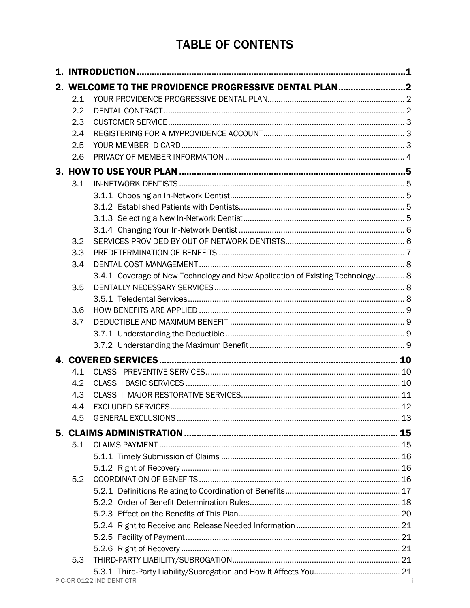# **TABLE OF CONTENTS**

| 2. WELCOME TO THE PROVIDENCE PROGRESSIVE DENTAL PLAN2 |                                                                               |     |  |  |
|-------------------------------------------------------|-------------------------------------------------------------------------------|-----|--|--|
| 2.1                                                   |                                                                               |     |  |  |
| 2.2                                                   |                                                                               |     |  |  |
| 2.3                                                   |                                                                               |     |  |  |
| 2.4                                                   |                                                                               |     |  |  |
| 2.5                                                   |                                                                               |     |  |  |
| 2.6                                                   |                                                                               |     |  |  |
|                                                       |                                                                               |     |  |  |
| 3.1                                                   |                                                                               |     |  |  |
|                                                       |                                                                               |     |  |  |
|                                                       |                                                                               |     |  |  |
|                                                       |                                                                               |     |  |  |
|                                                       |                                                                               |     |  |  |
| 3.2                                                   |                                                                               |     |  |  |
| 3.3                                                   |                                                                               |     |  |  |
| 3.4                                                   |                                                                               |     |  |  |
|                                                       | 3.4.1 Coverage of New Technology and New Application of Existing Technology 8 |     |  |  |
| 3.5                                                   |                                                                               |     |  |  |
|                                                       |                                                                               |     |  |  |
| 3.6                                                   |                                                                               |     |  |  |
| 3.7                                                   |                                                                               |     |  |  |
|                                                       |                                                                               |     |  |  |
|                                                       |                                                                               |     |  |  |
|                                                       |                                                                               |     |  |  |
| 4.1                                                   |                                                                               |     |  |  |
| 4.2                                                   |                                                                               |     |  |  |
| 4.3                                                   |                                                                               |     |  |  |
| 4.4                                                   |                                                                               |     |  |  |
| 4.5                                                   |                                                                               |     |  |  |
|                                                       |                                                                               |     |  |  |
| 5.1                                                   |                                                                               |     |  |  |
|                                                       |                                                                               |     |  |  |
|                                                       |                                                                               |     |  |  |
| 5.2                                                   |                                                                               |     |  |  |
|                                                       |                                                                               |     |  |  |
|                                                       |                                                                               |     |  |  |
|                                                       |                                                                               |     |  |  |
|                                                       |                                                                               |     |  |  |
|                                                       |                                                                               |     |  |  |
|                                                       |                                                                               |     |  |  |
| 5.3                                                   |                                                                               |     |  |  |
|                                                       | PIC-OR 0122 IND DENT CTR                                                      | -ii |  |  |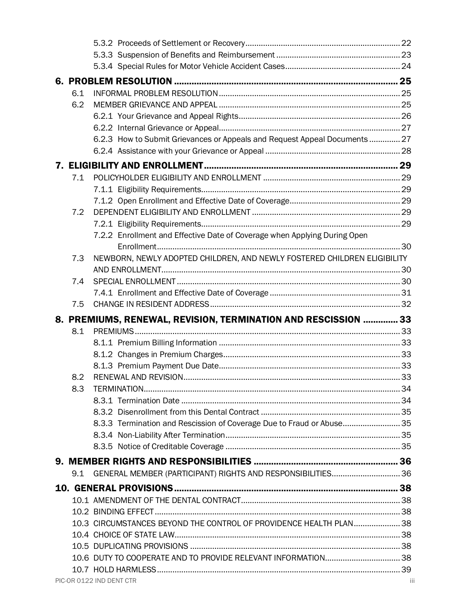|  | 6.1 |                                                                            |  |  |  |  |
|--|-----|----------------------------------------------------------------------------|--|--|--|--|
|  | 6.2 |                                                                            |  |  |  |  |
|  |     |                                                                            |  |  |  |  |
|  |     |                                                                            |  |  |  |  |
|  |     | 6.2.3 How to Submit Grievances or Appeals and Request Appeal Documents  27 |  |  |  |  |
|  |     |                                                                            |  |  |  |  |
|  |     |                                                                            |  |  |  |  |
|  | 7.1 |                                                                            |  |  |  |  |
|  |     |                                                                            |  |  |  |  |
|  |     |                                                                            |  |  |  |  |
|  | 7.2 |                                                                            |  |  |  |  |
|  |     |                                                                            |  |  |  |  |
|  |     | 7.2.2 Enrollment and Effective Date of Coverage when Applying During Open  |  |  |  |  |
|  |     |                                                                            |  |  |  |  |
|  | 7.3 | NEWBORN, NEWLY ADOPTED CHILDREN, AND NEWLY FOSTERED CHILDREN ELIGIBILITY   |  |  |  |  |
|  |     |                                                                            |  |  |  |  |
|  | 7.4 |                                                                            |  |  |  |  |
|  |     |                                                                            |  |  |  |  |
|  | 7.5 |                                                                            |  |  |  |  |
|  |     |                                                                            |  |  |  |  |
|  |     |                                                                            |  |  |  |  |
|  | 8.1 | 8. PREMIUMS, RENEWAL, REVISION, TERMINATION AND RESCISSION  33             |  |  |  |  |
|  |     |                                                                            |  |  |  |  |
|  |     |                                                                            |  |  |  |  |
|  |     |                                                                            |  |  |  |  |
|  | 8.2 |                                                                            |  |  |  |  |
|  | 8.3 |                                                                            |  |  |  |  |
|  |     |                                                                            |  |  |  |  |
|  |     |                                                                            |  |  |  |  |
|  |     | 8.3.3 Termination and Rescission of Coverage Due to Fraud or Abuse 35      |  |  |  |  |
|  |     |                                                                            |  |  |  |  |
|  |     |                                                                            |  |  |  |  |
|  |     |                                                                            |  |  |  |  |
|  | 9.1 | GENERAL MEMBER (PARTICIPANT) RIGHTS AND RESPONSIBILITIES 36                |  |  |  |  |
|  |     |                                                                            |  |  |  |  |
|  |     |                                                                            |  |  |  |  |
|  |     |                                                                            |  |  |  |  |
|  |     | 10.3 CIRCUMSTANCES BEYOND THE CONTROL OF PROVIDENCE HEALTH PLAN 38         |  |  |  |  |
|  |     |                                                                            |  |  |  |  |
|  |     |                                                                            |  |  |  |  |
|  |     |                                                                            |  |  |  |  |
|  |     |                                                                            |  |  |  |  |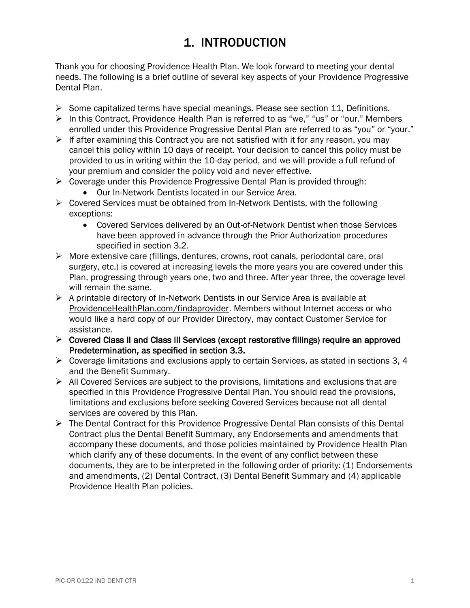# 1. INTRODUCTION

<span id="page-5-0"></span>Thank you for choosing Providence Health Plan. We look forward to meeting your dental needs. The following is a brief outline of several key aspects of your Providence Progressive Dental Plan.

- $\triangleright$  Some capitalized terms have special meanings. Please see section 11, Definitions.
- ➢ In this Contract, Providence Health Plan is referred to as "we," "us" or "our." Members enrolled under this Providence Progressive Dental Plan are referred to as "you" or "your."
- ➢ If after examining this Contract you are not satisfied with it for any reason, you may cancel this policy within 10 days of receipt. Your decision to cancel this policy must be provided to us in writing within the 10-day period, and we will provide a full refund of your premium and consider the policy void and never effective.
- ➢ Coverage under this Providence Progressive Dental Plan is provided through:
	- Our In-Network Dentists located in our Service Area.
- $\triangleright$  Covered Services must be obtained from In-Network Dentists, with the following exceptions:
	- Covered Services delivered by an Out-of-Network Dentist when those Services have been approved in advance through the Prior Authorization procedures specified in section 3.2.
- ➢ More extensive care (fillings, dentures, crowns, root canals, periodontal care, oral surgery, etc.) is covered at increasing levels the more years you are covered under this Plan, progressing through years one, two and three. After year three, the coverage level will remain the same.
- $\triangleright$  A printable directory of In-Network Dentists in our Service Area is available at [ProvidenceHealthPlan.com/findaprovider.](https://phppd.providence.org/) Members without Internet access or who would like a hard copy of our Provider Directory, may contact Customer Service for assistance.
- ➢ Covered Class II and Class III Services (except restorative fillings) require an approved Predetermination, as specified in section 3.3.
- $\triangleright$  Coverage limitations and exclusions apply to certain Services, as stated in sections 3, 4 and the Benefit Summary.
- $\triangleright$  All Covered Services are subject to the provisions, limitations and exclusions that are specified in this Providence Progressive Dental Plan. You should read the provisions, limitations and exclusions before seeking Covered Services because not all dental services are covered by this Plan.
- ➢ The Dental Contract for this Providence Progressive Dental Plan consists of this Dental Contract plus the Dental Benefit Summary, any Endorsements and amendments that accompany these documents, and those policies maintained by Providence Health Plan which clarify any of these documents. In the event of any conflict between these documents, they are to be interpreted in the following order of priority: (1) Endorsements and amendments, (2) Dental Contract, (3) Dental Benefit Summary and (4) applicable Providence Health Plan policies.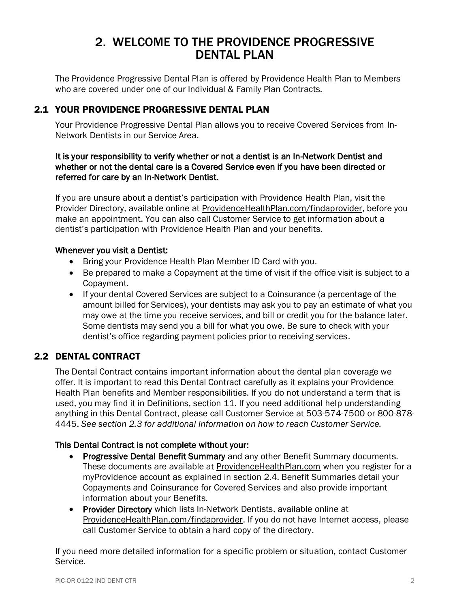# 2. WELCOME TO THE PROVIDENCE PROGRESSIVE DENTAL PLAN

<span id="page-6-0"></span>The Providence Progressive Dental Plan is offered by Providence Health Plan to Members who are covered under one of our Individual & Family Plan Contracts.

# <span id="page-6-1"></span>2.1 YOUR PROVIDENCE PROGRESSIVE DENTAL PLAN

Your Providence Progressive Dental Plan allows you to receive Covered Services from In-Network Dentists in our Service Area.

#### It is your responsibility to verify whether or not a dentist is an In-Network Dentist and whether or not the dental care is a Covered Service even if you have been directed or referred for care by an In-Network Dentist.

If you are unsure about a dentist's participation with Providence Health Plan, visit the Provider Directory, available online at [ProvidenceHealthPlan.com/findaprovider,](https://phppd.providence.org/) before you make an appointment. You can also call Customer Service to get information about a dentist's participation with Providence Health Plan and your benefits.

#### Whenever you visit a Dentist:

- Bring your Providence Health Plan Member ID Card with you.
- Be prepared to make a Copayment at the time of visit if the office visit is subject to a Copayment.
- If your dental Covered Services are subject to a Coinsurance (a percentage of the amount billed for Services), your dentists may ask you to pay an estimate of what you may owe at the time you receive services, and bill or credit you for the balance later. Some dentists may send you a bill for what you owe. Be sure to check with your dentist's office regarding payment policies prior to receiving services.

# <span id="page-6-2"></span>2.2 DENTAL CONTRACT

The Dental Contract contains important information about the dental plan coverage we offer. It is important to read this Dental Contract carefully as it explains your Providence Health Plan benefits and Member responsibilities. If you do not understand a term that is used, you may find it in Definitions, section 11. If you need additional help understanding anything in this Dental Contract, please call Customer Service at 503-574-7500 or 800-878- 4445. *See section 2.3 for additional information on how to reach Customer Service.*

#### This Dental Contract is not complete without your:

- Progressive Dental Benefit Summary and any other Benefit Summary documents. These documents are available at [ProvidenceHealthPlan.com](https://www.providencehealthplan.com/) when you register for a myProvidence account as explained in section 2.4. Benefit Summaries detail your Copayments and Coinsurance for Covered Services and also provide important information about your Benefits.
- Provider Directory which lists In-Network Dentists, available online at [ProvidenceHealthPlan.com/findaprovider.](https://phppd.providence.org/) If you do not have Internet access, please call Customer Service to obtain a hard copy of the directory.

If you need more detailed information for a specific problem or situation, contact Customer Service.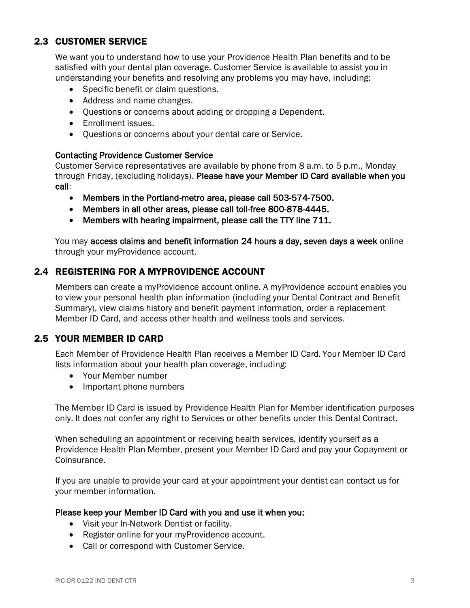# <span id="page-7-0"></span>2.3 CUSTOMER SERVICE

We want you to understand how to use your Providence Health Plan benefits and to be satisfied with your dental plan coverage. Customer Service is available to assist you in understanding your benefits and resolving any problems you may have, including:

- Specific benefit or claim questions.
- Address and name changes.
- Questions or concerns about adding or dropping a Dependent.
- Enrollment issues.
- Questions or concerns about your dental care or Service.

#### Contacting Providence Customer Service

Customer Service representatives are available by phone from 8 a.m. to 5 p.m., Monday through Friday, (excluding holidays). Please have your Member ID Card available when you call:

- Members in the Portland-metro area, please call 503-574-7500.
- Members in all other areas, please call toll-free 800-878-4445.
- Members with hearing impairment, please call the TTY line 711.

You may access claims and benefit information 24 hours a day, seven days a week online through your myProvidence account.

## <span id="page-7-1"></span>2.4 REGISTERING FOR A MYPROVIDENCE ACCOUNT

Members can create a myProvidence account online. A myProvidence account enables you to view your personal health plan information (including your Dental Contract and Benefit Summary), view claims history and benefit payment information, order a replacement Member ID Card, and access other health and wellness tools and services.

# <span id="page-7-2"></span>2.5 YOUR MEMBER ID CARD

Each Member of Providence Health Plan receives a Member ID Card. Your Member ID Card lists information about your health plan coverage, including:

- Your Member number
- Important phone numbers

The Member ID Card is issued by Providence Health Plan for Member identification purposes only. It does not confer any right to Services or other benefits under this Dental Contract.

When scheduling an appointment or receiving health services, identify yourself as a Providence Health Plan Member, present your Member ID Card and pay your Copayment or Coinsurance.

If you are unable to provide your card at your appointment your dentist can contact us for your member information.

#### Please keep your Member ID Card with you and use it when you:

- Visit your In-Network Dentist or facility.
- Register online for your myProvidence account.
- Call or correspond with Customer Service.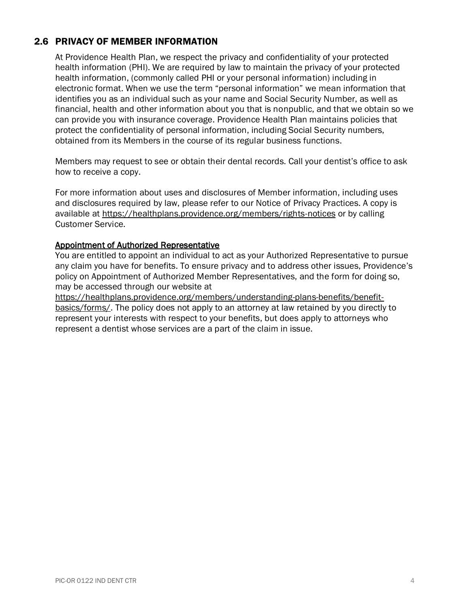# <span id="page-8-0"></span>2.6 PRIVACY OF MEMBER INFORMATION

At Providence Health Plan, we respect the privacy and confidentiality of your protected health information (PHI). We are required by law to maintain the privacy of your protected health information, (commonly called PHI or your personal information) including in electronic format. When we use the term "personal information" we mean information that identifies you as an individual such as your name and Social Security Number, as well as financial, health and other information about you that is nonpublic, and that we obtain so we can provide you with insurance coverage. Providence Health Plan maintains policies that protect the confidentiality of personal information, including Social Security numbers, obtained from its Members in the course of its regular business functions.

Members may request to see or obtain their dental records. Call your dentist's office to ask how to receive a copy.

For more information about uses and disclosures of Member information, including uses and disclosures required by law, please refer to our Notice of Privacy Practices. A copy is available at <https://healthplans.providence.org/members/rights-notices> or by calling Customer Service.

#### Appointment of Authorized Representative

You are entitled to appoint an individual to act as your Authorized Representative to pursue any claim you have for benefits. To ensure privacy and to address other issues, Providence's policy on Appointment of Authorized Member Representatives, and the form for doing so, may be accessed through our website at

[https://healthplans.providence.org/members/understanding-plans-benefits/benefit](https://healthplans.providence.org/members/understanding-plans-benefits/benefit-basics/forms/)[basics/forms/.](https://healthplans.providence.org/members/understanding-plans-benefits/benefit-basics/forms/) The policy does not apply to an attorney at law retained by you directly to represent your interests with respect to your benefits, but does apply to attorneys who represent a dentist whose services are a part of the claim in issue.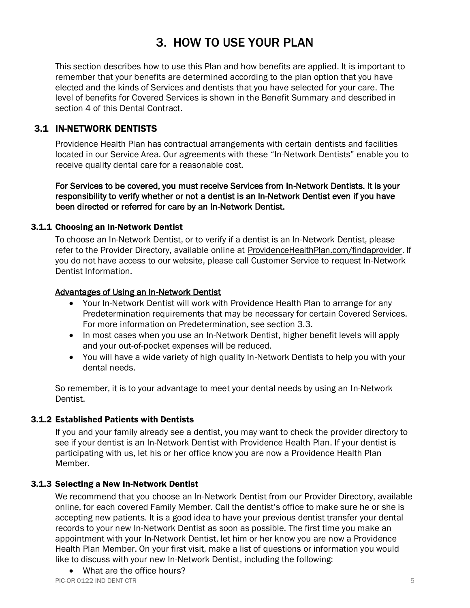# 3. HOW TO USE YOUR PLAN

<span id="page-9-0"></span>This section describes how to use this Plan and how benefits are applied. It is important to remember that your benefits are determined according to the plan option that you have elected and the kinds of Services and dentists that you have selected for your care. The level of benefits for Covered Services is shown in the Benefit Summary and described in section 4 of this Dental Contract.

## <span id="page-9-1"></span>3.1 IN-NETWORK DENTISTS

Providence Health Plan has contractual arrangements with certain dentists and facilities located in our Service Area. Our agreements with these "In-Network Dentists" enable you to receive quality dental care for a reasonable cost.

For Services to be covered, you must receive Services from In-Network Dentists. It is your responsibility to verify whether or not a dentist is an In-Network Dentist even if you have been directed or referred for care by an In-Network Dentist.

#### <span id="page-9-2"></span>3.1.1 Choosing an In-Network Dentist

To choose an In-Network Dentist, or to verify if a dentist is an In-Network Dentist, please refer to the Provider Directory, available online at [ProvidenceHealthPlan.com/findaprovider.](https://phppd.providence.org/) If you do not have access to our website, please call Customer Service to request In-Network Dentist Information.

#### Advantages of Using an In-Network Dentist

- Your In-Network Dentist will work with Providence Health Plan to arrange for any Predetermination requirements that may be necessary for certain Covered Services. For more information on Predetermination, see section 3.3.
- In most cases when you use an In-Network Dentist, higher benefit levels will apply and your out-of-pocket expenses will be reduced.
- You will have a wide variety of high quality In-Network Dentists to help you with your dental needs.

So remember, it is to your advantage to meet your dental needs by using an In-Network Dentist.

#### <span id="page-9-3"></span>3.1.2 Established Patients with Dentists

If you and your family already see a dentist, you may want to check the provider directory to see if your dentist is an In-Network Dentist with Providence Health Plan. If your dentist is participating with us, let his or her office know you are now a Providence Health Plan Member.

#### <span id="page-9-4"></span>3.1.3 Selecting a New In-Network Dentist

We recommend that you choose an In-Network Dentist from our Provider Directory, available online, for each covered Family Member. Call the dentist's office to make sure he or she is accepting new patients. It is a good idea to have your previous dentist transfer your dental records to your new In-Network Dentist as soon as possible. The first time you make an appointment with your In-Network Dentist, let him or her know you are now a Providence Health Plan Member. On your first visit, make a list of questions or information you would like to discuss with your new In-Network Dentist, including the following:

• What are the office hours?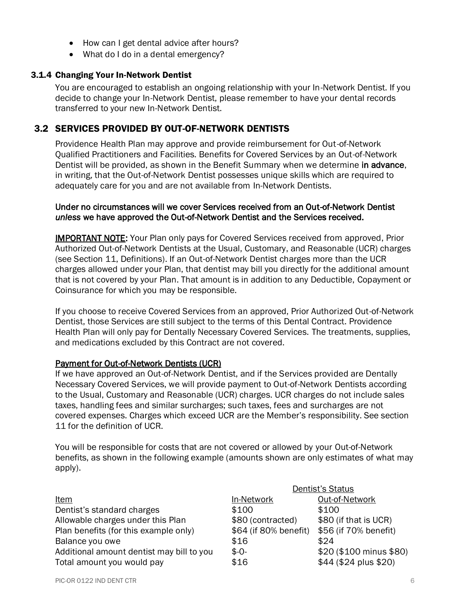- How can I get dental advice after hours?
- What do I do in a dental emergency?

#### <span id="page-10-0"></span>3.1.4 Changing Your In-Network Dentist

You are encouraged to establish an ongoing relationship with your In-Network Dentist. If you decide to change your In-Network Dentist, please remember to have your dental records transferred to your new In-Network Dentist.

#### <span id="page-10-1"></span>3.2 SERVICES PROVIDED BY OUT-OF-NETWORK DENTISTS

Providence Health Plan may approve and provide reimbursement for Out-of-Network Qualified Practitioners and Facilities. Benefits for Covered Services by an Out-of-Network Dentist will be provided, as shown in the Benefit Summary when we determine in advance, in writing, that the Out-of-Network Dentist possesses unique skills which are required to adequately care for you and are not available from In-Network Dentists.

#### Under no circumstances will we cover Services received from an Out-of-Network Dentist *unless* we have approved the Out-of-Network Dentist and the Services received.

IMPORTANT NOTE: Your Plan only pays for Covered Services received from approved, Prior Authorized Out-of-Network Dentists at the Usual, Customary, and Reasonable (UCR) charges (see Section 11, Definitions). If an Out-of-Network Dentist charges more than the UCR charges allowed under your Plan, that dentist may bill you directly for the additional amount that is not covered by your Plan. That amount is in addition to any Deductible, Copayment or Coinsurance for which you may be responsible.

If you choose to receive Covered Services from an approved, Prior Authorized Out-of-Network Dentist, those Services are still subject to the terms of this Dental Contract. Providence Health Plan will only pay for Dentally Necessary Covered Services. The treatments, supplies, and medications excluded by this Contract are not covered.

#### Payment for Out-of-Network Dentists (UCR)

If we have approved an Out-of-Network Dentist, and if the Services provided are Dentally Necessary Covered Services, we will provide payment to Out-of-Network Dentists according to the Usual, Customary and Reasonable (UCR) charges. UCR charges do not include sales taxes, handling fees and similar surcharges; such taxes, fees and surcharges are not covered expenses. Charges which exceed UCR are the Member's responsibility. See section 11 for the definition of UCR.

You will be responsible for costs that are not covered or allowed by your Out-of-Network benefits, as shown in the following example (amounts shown are only estimates of what may apply).

|                                           | Dentist's Status      |                         |  |
|-------------------------------------------|-----------------------|-------------------------|--|
| <u>Item</u>                               | In-Network            | Out-of-Network          |  |
| Dentist's standard charges                | \$100                 | \$100                   |  |
| Allowable charges under this Plan         | \$80 (contracted)     | \$80 (if that is UCR)   |  |
| Plan benefits (for this example only)     | \$64 (if 80% benefit) | \$56 (if 70% benefit)   |  |
| Balance you owe                           | \$16                  | \$24                    |  |
| Additional amount dentist may bill to you | $$ -0-$               | \$20 (\$100 minus \$80) |  |
| Total amount you would pay                | \$16                  | \$44 (\$24 plus \$20)   |  |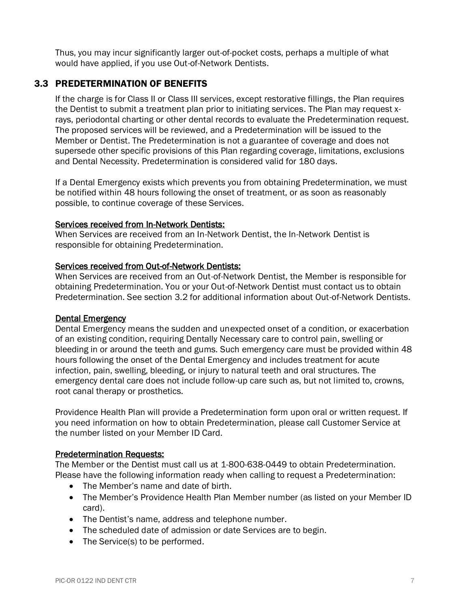Thus, you may incur significantly larger out-of-pocket costs, perhaps a multiple of what would have applied, if you use Out-of-Network Dentists.

## <span id="page-11-0"></span>3.3 PREDETERMINATION OF BENEFITS

If the charge is for Class II or Class III services, except restorative fillings, the Plan requires the Dentist to submit a treatment plan prior to initiating services. The Plan may request xrays, periodontal charting or other dental records to evaluate the Predetermination request. The proposed services will be reviewed, and a Predetermination will be issued to the Member or Dentist. The Predetermination is not a guarantee of coverage and does not supersede other specific provisions of this Plan regarding coverage, limitations, exclusions and Dental Necessity. Predetermination is considered valid for 180 days.

If a Dental Emergency exists which prevents you from obtaining Predetermination, we must be notified within 48 hours following the onset of treatment, or as soon as reasonably possible, to continue coverage of these Services.

#### Services received from In-Network Dentists:

When Services are received from an In-Network Dentist, the In-Network Dentist is responsible for obtaining Predetermination.

#### Services received from Out-of-Network Dentists:

When Services are received from an Out-of-Network Dentist, the Member is responsible for obtaining Predetermination. You or your Out-of-Network Dentist must contact us to obtain Predetermination. See section 3.2 for additional information about Out-of-Network Dentists.

#### Dental Emergency

Dental Emergency means the sudden and unexpected onset of a condition, or exacerbation of an existing condition, requiring Dentally Necessary care to control pain, swelling or bleeding in or around the teeth and gums. Such emergency care must be provided within 48 hours following the onset of the Dental Emergency and includes treatment for acute infection, pain, swelling, bleeding, or injury to natural teeth and oral structures. The emergency dental care does not include follow-up care such as, but not limited to, crowns, root canal therapy or prosthetics.

Providence Health Plan will provide a Predetermination form upon oral or written request. If you need information on how to obtain Predetermination, please call Customer Service at the number listed on your Member ID Card.

#### Predetermination Requests:

The Member or the Dentist must call us at 1-800-638-0449 to obtain Predetermination. Please have the following information ready when calling to request a Predetermination:

- The Member's name and date of birth.
- The Member's Providence Health Plan Member number (as listed on your Member ID card).
- The Dentist's name, address and telephone number.
- The scheduled date of admission or date Services are to begin.
- The Service(s) to be performed.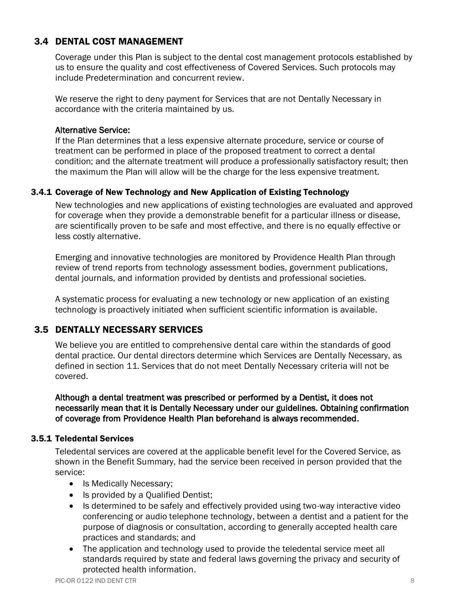# <span id="page-12-0"></span>3.4 DENTAL COST MANAGEMENT

Coverage under this Plan is subject to the dental cost management protocols established by us to ensure the quality and cost effectiveness of Covered Services. Such protocols may include Predetermination and concurrent review.

We reserve the right to deny payment for Services that are not Dentally Necessary in accordance with the criteria maintained by us.

#### Alternative Service:

If the Plan determines that a less expensive alternate procedure, service or course of treatment can be performed in place of the proposed treatment to correct a dental condition; and the alternate treatment will produce a professionally satisfactory result; then the maximum the Plan will allow will be the charge for the less expensive treatment.

## <span id="page-12-1"></span>3.4.1 Coverage of New Technology and New Application of Existing Technology

New technologies and new applications of existing technologies are evaluated and approved for coverage when they provide a demonstrable benefit for a particular illness or disease, are scientifically proven to be safe and most effective, and there is no equally effective or less costly alternative.

Emerging and innovative technologies are monitored by Providence Health Plan through review of trend reports from technology assessment bodies, government publications, dental journals, and information provided by dentists and professional societies.

A systematic process for evaluating a new technology or new application of an existing technology is proactively initiated when sufficient scientific information is available.

# <span id="page-12-2"></span>3.5 DENTALLY NECESSARY SERVICES

We believe you are entitled to comprehensive dental care within the standards of good dental practice. Our dental directors determine which Services are Dentally Necessary, as defined in section 11. Services that do not meet Dentally Necessary criteria will not be covered.

Although a dental treatment was prescribed or performed by a Dentist, it does not necessarily mean that it is Dentally Necessary under our guidelines. Obtaining confirmation of coverage from Providence Health Plan beforehand is always recommended.

#### <span id="page-12-3"></span>3.5.1 Teledental Services

Teledental services are covered at the applicable benefit level for the Covered Service, as shown in the Benefit Summary, had the service been received in person provided that the service:

- Is Medically Necessary;
- Is provided by a Qualified Dentist;
- Is determined to be safely and effectively provided using two-way interactive video conferencing or audio telephone technology, between a dentist and a patient for the purpose of diagnosis or consultation, according to generally accepted health care practices and standards; and
- The application and technology used to provide the teledental service meet all standards required by state and federal laws governing the privacy and security of protected health information.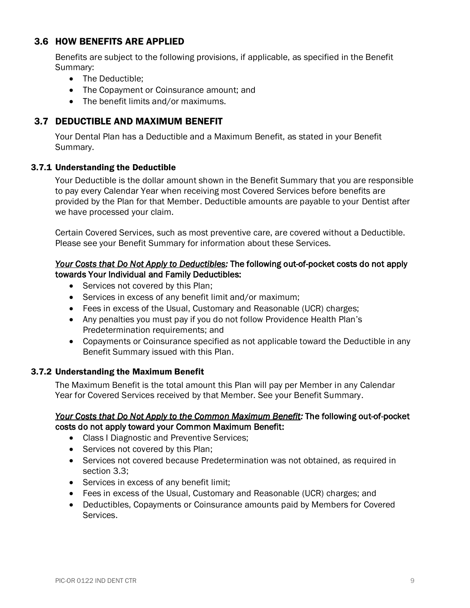## <span id="page-13-0"></span>3.6 HOW BENEFITS ARE APPLIED

Benefits are subject to the following provisions, if applicable, as specified in the Benefit Summary:

- The Deductible;
- The Copayment or Coinsurance amount; and
- The benefit limits and/or maximums.

## <span id="page-13-1"></span>3.7 DEDUCTIBLE AND MAXIMUM BENEFIT

Your Dental Plan has a Deductible and a Maximum Benefit, as stated in your Benefit Summary.

#### <span id="page-13-2"></span>3.7.1 Understanding the Deductible

Your Deductible is the dollar amount shown in the Benefit Summary that you are responsible to pay every Calendar Year when receiving most Covered Services before benefits are provided by the Plan for that Member. Deductible amounts are payable to your Dentist after we have processed your claim.

Certain Covered Services, such as most preventive care, are covered without a Deductible. Please see your Benefit Summary for information about these Services.

#### *Your Costs that Do Not Apply to Deductibles:* The following out-of-pocket costs do not apply towards Your Individual and Family Deductibles:

- Services not covered by this Plan;
- Services in excess of any benefit limit and/or maximum;
- Fees in excess of the Usual, Customary and Reasonable (UCR) charges;
- Any penalties you must pay if you do not follow Providence Health Plan's Predetermination requirements; and
- Copayments or Coinsurance specified as not applicable toward the Deductible in any Benefit Summary issued with this Plan.

#### <span id="page-13-3"></span>3.7.2 Understanding the Maximum Benefit

The Maximum Benefit is the total amount this Plan will pay per Member in any Calendar Year for Covered Services received by that Member. See your Benefit Summary.

#### *Your Costs that Do Not Apply to the Common Maximum Benefit:* The following out-of-pocket costs do not apply toward your Common Maximum Benefit:

- Class I Diagnostic and Preventive Services;
- Services not covered by this Plan;
- Services not covered because Predetermination was not obtained, as required in section 3.3;
- Services in excess of any benefit limit;
- Fees in excess of the Usual, Customary and Reasonable (UCR) charges; and
- Deductibles, Copayments or Coinsurance amounts paid by Members for Covered Services.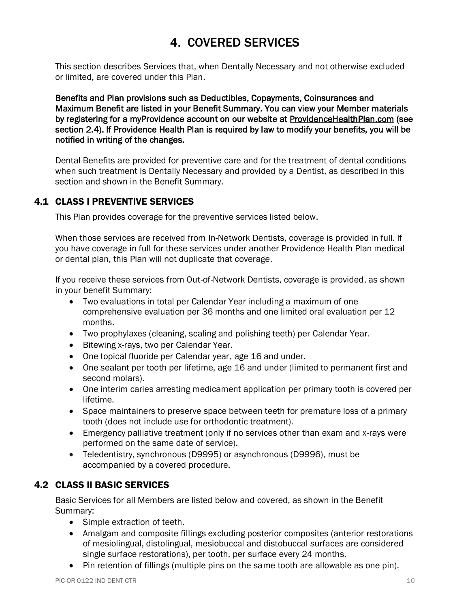# 4. COVERED SERVICES

<span id="page-14-0"></span>This section describes Services that, when Dentally Necessary and not otherwise excluded or limited, are covered under this Plan.

Benefits and Plan provisions such as Deductibles, Copayments, Coinsurances and Maximum Benefit are listed in your Benefit Summary. You can view your Member materials by registering for a myProvidence account on our website at [ProvidenceHealthPlan.com](https://www.providencehealthplan.com/) (see section 2.4). If Providence Health Plan is required by law to modify your benefits, you will be notified in writing of the changes.

Dental Benefits are provided for preventive care and for the treatment of dental conditions when such treatment is Dentally Necessary and provided by a Dentist, as described in this section and shown in the Benefit Summary.

# <span id="page-14-1"></span>4.1 CLASS I PREVENTIVE SERVICES

This Plan provides coverage for the preventive services listed below.

When those services are received from In-Network Dentists, coverage is provided in full. If you have coverage in full for these services under another Providence Health Plan medical or dental plan, this Plan will not duplicate that coverage.

If you receive these services from Out-of-Network Dentists, coverage is provided, as shown in your benefit Summary:

- Two evaluations in total per Calendar Year including a maximum of one comprehensive evaluation per 36 months and one limited oral evaluation per 12 months.
- Two prophylaxes (cleaning, scaling and polishing teeth) per Calendar Year.
- Bitewing x-rays, two per Calendar Year.
- One topical fluoride per Calendar year, age 16 and under.
- One sealant per tooth per lifetime, age 16 and under (limited to permanent first and second molars).
- One interim caries arresting medicament application per primary tooth is covered per lifetime.
- Space maintainers to preserve space between teeth for premature loss of a primary tooth (does not include use for orthodontic treatment).
- Emergency palliative treatment (only if no services other than exam and x-rays were performed on the same date of service).
- Teledentistry, synchronous (D9995) or asynchronous (D9996), must be accompanied by a covered procedure.

# <span id="page-14-2"></span>4.2 CLASS II BASIC SERVICES

Basic Services for all Members are listed below and covered, as shown in the Benefit Summary:

- Simple extraction of teeth.
- Amalgam and composite fillings excluding posterior composites (anterior restorations of mesiolingual, distolingual, mesiobuccal and distobuccal surfaces are considered single surface restorations), per tooth, per surface every 24 months.
- Pin retention of fillings (multiple pins on the same tooth are allowable as one pin).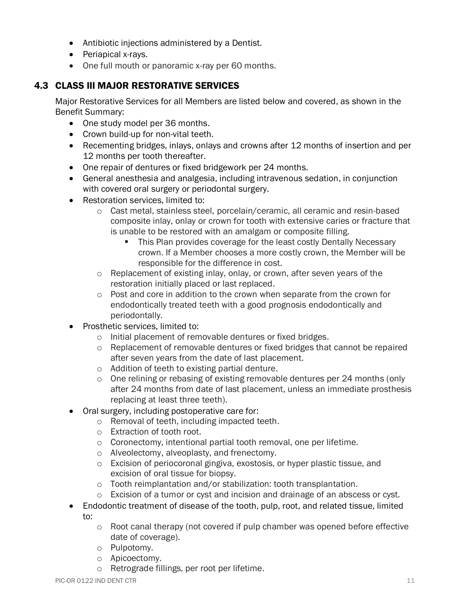- Antibiotic injections administered by a Dentist.
- Periapical x-rays.
- One full mouth or panoramic x-ray per 60 months.

# <span id="page-15-0"></span>4.3 CLASS III MAJOR RESTORATIVE SERVICES

Major Restorative Services for all Members are listed below and covered, as shown in the Benefit Summary:

- One study model per 36 months.
- Crown build-up for non-vital teeth.
- Recementing bridges, inlays, onlays and crowns after 12 months of insertion and per 12 months per tooth thereafter.
- One repair of dentures or fixed bridgework per 24 months.
- General anesthesia and analgesia, including intravenous sedation, in conjunction with covered oral surgery or periodontal surgery.
- Restoration services, limited to:
	- o Cast metal, stainless steel, porcelain/ceramic, all ceramic and resin-based composite inlay, onlay or crown for tooth with extensive caries or fracture that is unable to be restored with an amalgam or composite filling.
		- This Plan provides coverage for the least costly Dentally Necessary crown. If a Member chooses a more costly crown, the Member will be responsible for the difference in cost.
	- o Replacement of existing inlay, onlay, or crown, after seven years of the restoration initially placed or last replaced.
	- $\circ$  Post and core in addition to the crown when separate from the crown for endodontically treated teeth with a good prognosis endodontically and periodontally.
- Prosthetic services, limited to:
	- o Initial placement of removable dentures or fixed bridges.
	- $\circ$  Replacement of removable dentures or fixed bridges that cannot be repaired after seven years from the date of last placement.
	- o Addition of teeth to existing partial denture.
	- $\circ$  One relining or rebasing of existing removable dentures per 24 months (only after 24 months from date of last placement, unless an immediate prosthesis replacing at least three teeth).
- Oral surgery, including postoperative care for:
	- o Removal of teeth, including impacted teeth.
	- o Extraction of tooth root.
	- o Coronectomy, intentional partial tooth removal, one per lifetime.
	- o Alveolectomy, alveoplasty, and frenectomy.
	- o Excision of periocoronal gingiva, exostosis, or hyper plastic tissue, and excision of oral tissue for biopsy.
	- o Tooth reimplantation and/or stabilization: tooth transplantation.
	- $\circ$  Excision of a tumor or cyst and incision and drainage of an abscess or cyst.
- Endodontic treatment of disease of the tooth, pulp, root, and related tissue, limited
	- to:
		- $\circ$  Root canal therapy (not covered if pulp chamber was opened before effective date of coverage).
		- o Pulpotomy.
		- o Apicoectomy.
		- o Retrograde fillings, per root per lifetime.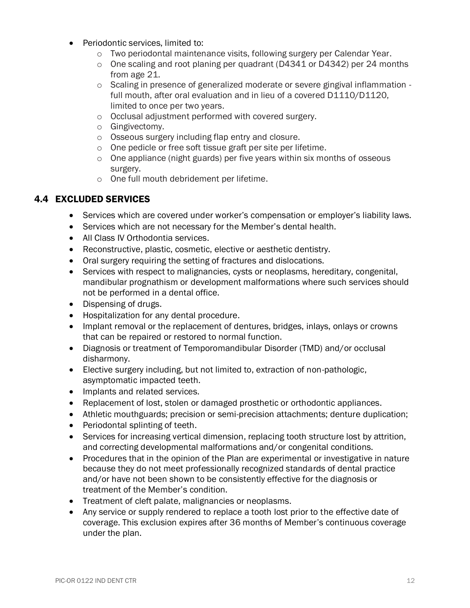- Periodontic services, limited to:
	- $\circ$  Two periodontal maintenance visits, following surgery per Calendar Year.
	- $\circ$  One scaling and root planing per quadrant (D4341 or D4342) per 24 months from age 21.
	- o Scaling in presence of generalized moderate or severe gingival inflammation full mouth, after oral evaluation and in lieu of a covered D1110/D1120, limited to once per two years.
	- o Occlusal adjustment performed with covered surgery.
	- o Gingivectomy.
	- o Osseous surgery including flap entry and closure.
	- o One pedicle or free soft tissue graft per site per lifetime.
	- $\circ$  One appliance (night guards) per five years within six months of osseous surgery.
	- o One full mouth debridement per lifetime.

# <span id="page-16-0"></span>4.4 EXCLUDED SERVICES

- Services which are covered under worker's compensation or employer's liability laws.
- Services which are not necessary for the Member's dental health.
- All Class IV Orthodontia services.
- Reconstructive, plastic, cosmetic, elective or aesthetic dentistry.
- Oral surgery requiring the setting of fractures and dislocations.
- Services with respect to malignancies, cysts or neoplasms, hereditary, congenital, mandibular prognathism or development malformations where such services should not be performed in a dental office.
- Dispensing of drugs.
- Hospitalization for any dental procedure.
- Implant removal or the replacement of dentures, bridges, inlays, onlays or crowns that can be repaired or restored to normal function.
- Diagnosis or treatment of Temporomandibular Disorder (TMD) and/or occlusal disharmony.
- Elective surgery including, but not limited to, extraction of non-pathologic, asymptomatic impacted teeth.
- Implants and related services.
- Replacement of lost, stolen or damaged prosthetic or orthodontic appliances.
- Athletic mouthguards; precision or semi-precision attachments; denture duplication;
- Periodontal splinting of teeth.
- Services for increasing vertical dimension, replacing tooth structure lost by attrition, and correcting developmental malformations and/or congenital conditions.
- Procedures that in the opinion of the Plan are experimental or investigative in nature because they do not meet professionally recognized standards of dental practice and/or have not been shown to be consistently effective for the diagnosis or treatment of the Member's condition.
- Treatment of cleft palate, malignancies or neoplasms.
- Any service or supply rendered to replace a tooth lost prior to the effective date of coverage. This exclusion expires after 36 months of Member's continuous coverage under the plan.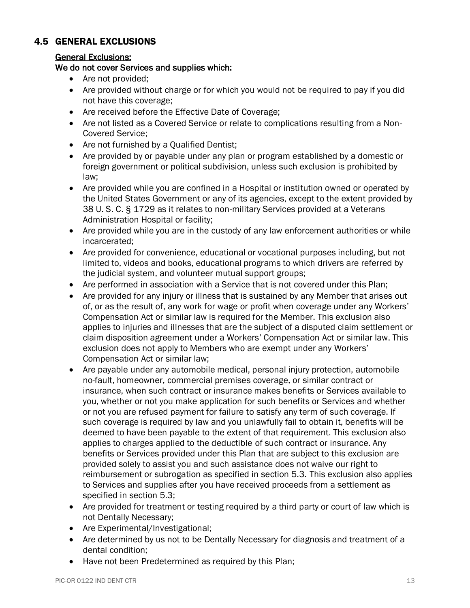# <span id="page-17-0"></span>4.5 GENERAL EXCLUSIONS

## General Exclusions:

## We do not cover Services and supplies which:

- Are not provided;
- Are provided without charge or for which you would not be required to pay if you did not have this coverage;
- Are received before the Effective Date of Coverage;
- Are not listed as a Covered Service or relate to complications resulting from a Non-Covered Service;
- Are not furnished by a Qualified Dentist;
- Are provided by or payable under any plan or program established by a domestic or foreign government or political subdivision, unless such exclusion is prohibited by law;
- Are provided while you are confined in a Hospital or institution owned or operated by the United States Government or any of its agencies, except to the extent provided by 38 U. S. C. § 1729 as it relates to non-military Services provided at a Veterans Administration Hospital or facility;
- Are provided while you are in the custody of any law enforcement authorities or while incarcerated;
- Are provided for convenience, educational or vocational purposes including, but not limited to, videos and books, educational programs to which drivers are referred by the judicial system, and volunteer mutual support groups;
- Are performed in association with a Service that is not covered under this Plan;
- Are provided for any injury or illness that is sustained by any Member that arises out of, or as the result of, any work for wage or profit when coverage under any Workers' Compensation Act or similar law is required for the Member. This exclusion also applies to injuries and illnesses that are the subject of a disputed claim settlement or claim disposition agreement under a Workers' Compensation Act or similar law. This exclusion does not apply to Members who are exempt under any Workers' Compensation Act or similar law;
- Are payable under any automobile medical, personal injury protection, automobile no-fault, homeowner, commercial premises coverage, or similar contract or insurance, when such contract or insurance makes benefits or Services available to you, whether or not you make application for such benefits or Services and whether or not you are refused payment for failure to satisfy any term of such coverage. If such coverage is required by law and you unlawfully fail to obtain it, benefits will be deemed to have been payable to the extent of that requirement. This exclusion also applies to charges applied to the deductible of such contract or insurance. Any benefits or Services provided under this Plan that are subject to this exclusion are provided solely to assist you and such assistance does not waive our right to reimbursement or subrogation as specified in section 5.3. This exclusion also applies to Services and supplies after you have received proceeds from a settlement as specified in section 5.3;
- Are provided for treatment or testing required by a third party or court of law which is not Dentally Necessary;
- Are Experimental/Investigational;
- Are determined by us not to be Dentally Necessary for diagnosis and treatment of a dental condition;
- Have not been Predetermined as required by this Plan;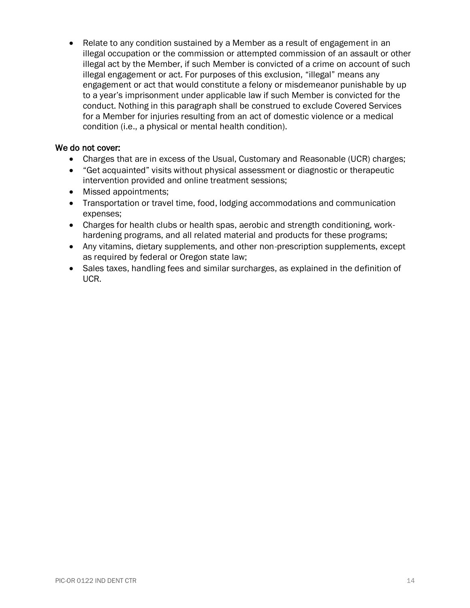• Relate to any condition sustained by a Member as a result of engagement in an illegal occupation or the commission or attempted commission of an assault or other illegal act by the Member, if such Member is convicted of a crime on account of such illegal engagement or act. For purposes of this exclusion, "illegal" means any engagement or act that would constitute a felony or misdemeanor punishable by up to a year's imprisonment under applicable law if such Member is convicted for the conduct. Nothing in this paragraph shall be construed to exclude Covered Services for a Member for injuries resulting from an act of domestic violence or a medical condition (i.e., a physical or mental health condition).

#### We do not cover:

- Charges that are in excess of the Usual, Customary and Reasonable (UCR) charges;
- "Get acquainted" visits without physical assessment or diagnostic or therapeutic intervention provided and online treatment sessions;
- Missed appointments;
- Transportation or travel time, food, lodging accommodations and communication expenses;
- Charges for health clubs or health spas, aerobic and strength conditioning, workhardening programs, and all related material and products for these programs;
- Any vitamins, dietary supplements, and other non-prescription supplements, except as required by federal or Oregon state law;
- Sales taxes, handling fees and similar surcharges, as explained in the definition of UCR.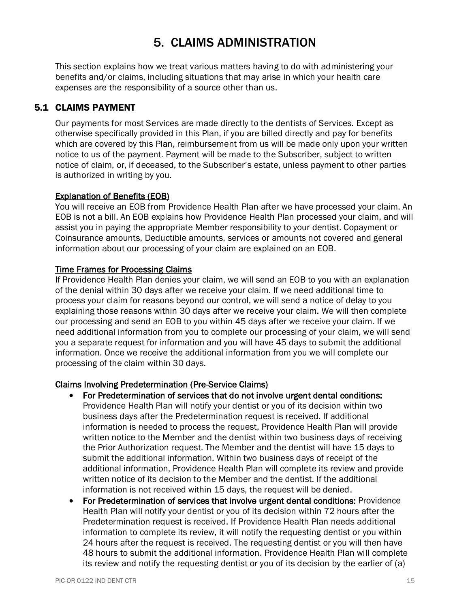# 5. CLAIMS ADMINISTRATION

<span id="page-19-0"></span>This section explains how we treat various matters having to do with administering your benefits and/or claims, including situations that may arise in which your health care expenses are the responsibility of a source other than us.

# <span id="page-19-1"></span>5.1 CLAIMS PAYMENT

Our payments for most Services are made directly to the dentists of Services. Except as otherwise specifically provided in this Plan, if you are billed directly and pay for benefits which are covered by this Plan, reimbursement from us will be made only upon your written notice to us of the payment. Payment will be made to the Subscriber, subject to written notice of claim, or, if deceased, to the Subscriber's estate, unless payment to other parties is authorized in writing by you.

#### Explanation of Benefits (EOB)

You will receive an EOB from Providence Health Plan after we have processed your claim. An EOB is not a bill. An EOB explains how Providence Health Plan processed your claim, and will assist you in paying the appropriate Member responsibility to your dentist. Copayment or Coinsurance amounts, Deductible amounts, services or amounts not covered and general information about our processing of your claim are explained on an EOB.

#### Time Frames for Processing Claims

If Providence Health Plan denies your claim, we will send an EOB to you with an explanation of the denial within 30 days after we receive your claim. If we need additional time to process your claim for reasons beyond our control, we will send a notice of delay to you explaining those reasons within 30 days after we receive your claim. We will then complete our processing and send an EOB to you within 45 days after we receive your claim. If we need additional information from you to complete our processing of your claim, we will send you a separate request for information and you will have 45 days to submit the additional information. Once we receive the additional information from you we will complete our processing of the claim within 30 days.

#### Claims Involving Predetermination (Pre-Service Claims)

- For Predetermination of services that do not involve urgent dental conditions: Providence Health Plan will notify your dentist or you of its decision within two business days after the Predetermination request is received. If additional information is needed to process the request, Providence Health Plan will provide written notice to the Member and the dentist within two business days of receiving the Prior Authorization request. The Member and the dentist will have 15 days to submit the additional information. Within two business days of receipt of the additional information, Providence Health Plan will complete its review and provide written notice of its decision to the Member and the dentist. If the additional information is not received within 15 days, the request will be denied.
- For Predetermination of services that involve urgent dental conditions: Providence Health Plan will notify your dentist or you of its decision within 72 hours after the Predetermination request is received. If Providence Health Plan needs additional information to complete its review, it will notify the requesting dentist or you within 24 hours after the request is received. The requesting dentist or you will then have 48 hours to submit the additional information. Providence Health Plan will complete its review and notify the requesting dentist or you of its decision by the earlier of (a)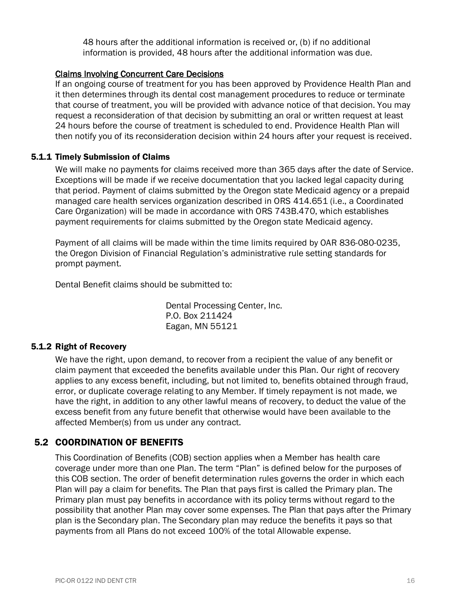48 hours after the additional information is received or, (b) if no additional information is provided, 48 hours after the additional information was due.

#### Claims Involving Concurrent Care Decisions

If an ongoing course of treatment for you has been approved by Providence Health Plan and it then determines through its dental cost management procedures to reduce or terminate that course of treatment, you will be provided with advance notice of that decision. You may request a reconsideration of that decision by submitting an oral or written request at least 24 hours before the course of treatment is scheduled to end. Providence Health Plan will then notify you of its reconsideration decision within 24 hours after your request is received.

#### <span id="page-20-0"></span>5.1.1 Timely Submission of Claims

We will make no payments for claims received more than 365 days after the date of Service. Exceptions will be made if we receive documentation that you lacked legal capacity during that period. Payment of claims submitted by the Oregon state Medicaid agency or a prepaid managed care health services organization described in ORS 414.651 (i.e., a Coordinated Care Organization) will be made in accordance with ORS 743B.470, which establishes payment requirements for claims submitted by the Oregon state Medicaid agency.

Payment of all claims will be made within the time limits required by OAR 836-080-0235, the Oregon Division of Financial Regulation's administrative rule setting standards for prompt payment.

Dental Benefit claims should be submitted to:

Dental Processing Center, Inc. P.O. Box 211424 Eagan, MN 55121

#### <span id="page-20-1"></span>5.1.2 Right of Recovery

We have the right, upon demand, to recover from a recipient the value of any benefit or claim payment that exceeded the benefits available under this Plan. Our right of recovery applies to any excess benefit, including, but not limited to, benefits obtained through fraud, error, or duplicate coverage relating to any Member. If timely repayment is not made, we have the right, in addition to any other lawful means of recovery, to deduct the value of the excess benefit from any future benefit that otherwise would have been available to the affected Member(s) from us under any contract.

#### <span id="page-20-2"></span>5.2 COORDINATION OF BENEFITS

This Coordination of Benefits (COB) section applies when a Member has health care coverage under more than one Plan. The term "Plan" is defined below for the purposes of this COB section. The order of benefit determination rules governs the order in which each Plan will pay a claim for benefits. The Plan that pays first is called the Primary plan. The Primary plan must pay benefits in accordance with its policy terms without regard to the possibility that another Plan may cover some expenses. The Plan that pays after the Primary plan is the Secondary plan. The Secondary plan may reduce the benefits it pays so that payments from all Plans do not exceed 100% of the total Allowable expense.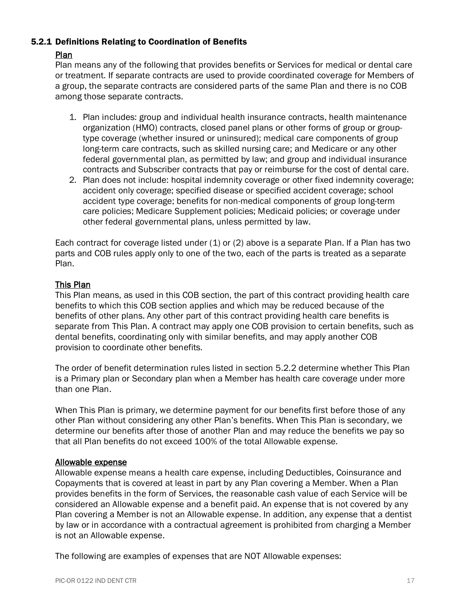#### <span id="page-21-0"></span>5.2.1 Definitions Relating to Coordination of Benefits

#### Plan

Plan means any of the following that provides benefits or Services for medical or dental care or treatment. If separate contracts are used to provide coordinated coverage for Members of a group, the separate contracts are considered parts of the same Plan and there is no COB among those separate contracts.

- 1. Plan includes: group and individual health insurance contracts, health maintenance organization (HMO) contracts, closed panel plans or other forms of group or grouptype coverage (whether insured or uninsured); medical care components of group long-term care contracts, such as skilled nursing care; and Medicare or any other federal governmental plan, as permitted by law; and group and individual insurance contracts and Subscriber contracts that pay or reimburse for the cost of dental care.
- 2. Plan does not include: hospital indemnity coverage or other fixed indemnity coverage; accident only coverage; specified disease or specified accident coverage; school accident type coverage; benefits for non-medical components of group long-term care policies; Medicare Supplement policies; Medicaid policies; or coverage under other federal governmental plans, unless permitted by law.

Each contract for coverage listed under  $(1)$  or  $(2)$  above is a separate Plan. If a Plan has two parts and COB rules apply only to one of the two, each of the parts is treated as a separate Plan.

#### This Plan

This Plan means, as used in this COB section, the part of this contract providing health care benefits to which this COB section applies and which may be reduced because of the benefits of other plans. Any other part of this contract providing health care benefits is separate from This Plan. A contract may apply one COB provision to certain benefits, such as dental benefits, coordinating only with similar benefits, and may apply another COB provision to coordinate other benefits.

The order of benefit determination rules listed in section 5.2.2 determine whether This Plan is a Primary plan or Secondary plan when a Member has health care coverage under more than one Plan.

When This Plan is primary, we determine payment for our benefits first before those of any other Plan without considering any other Plan's benefits. When This Plan is secondary, we determine our benefits after those of another Plan and may reduce the benefits we pay so that all Plan benefits do not exceed 100% of the total Allowable expense.

#### Allowable expense

Allowable expense means a health care expense, including Deductibles, Coinsurance and Copayments that is covered at least in part by any Plan covering a Member. When a Plan provides benefits in the form of Services, the reasonable cash value of each Service will be considered an Allowable expense and a benefit paid. An expense that is not covered by any Plan covering a Member is not an Allowable expense. In addition, any expense that a dentist by law or in accordance with a contractual agreement is prohibited from charging a Member is not an Allowable expense.

The following are examples of expenses that are NOT Allowable expenses: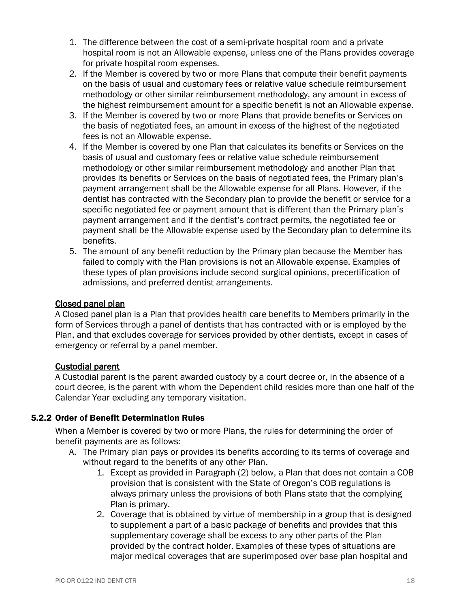- 1. The difference between the cost of a semi-private hospital room and a private hospital room is not an Allowable expense, unless one of the Plans provides coverage for private hospital room expenses.
- 2. If the Member is covered by two or more Plans that compute their benefit payments on the basis of usual and customary fees or relative value schedule reimbursement methodology or other similar reimbursement methodology, any amount in excess of the highest reimbursement amount for a specific benefit is not an Allowable expense.
- 3. If the Member is covered by two or more Plans that provide benefits or Services on the basis of negotiated fees, an amount in excess of the highest of the negotiated fees is not an Allowable expense.
- 4. If the Member is covered by one Plan that calculates its benefits or Services on the basis of usual and customary fees or relative value schedule reimbursement methodology or other similar reimbursement methodology and another Plan that provides its benefits or Services on the basis of negotiated fees, the Primary plan's payment arrangement shall be the Allowable expense for all Plans. However, if the dentist has contracted with the Secondary plan to provide the benefit or service for a specific negotiated fee or payment amount that is different than the Primary plan's payment arrangement and if the dentist's contract permits, the negotiated fee or payment shall be the Allowable expense used by the Secondary plan to determine its benefits.
- 5. The amount of any benefit reduction by the Primary plan because the Member has failed to comply with the Plan provisions is not an Allowable expense. Examples of these types of plan provisions include second surgical opinions, precertification of admissions, and preferred dentist arrangements.

#### Closed panel plan

A Closed panel plan is a Plan that provides health care benefits to Members primarily in the form of Services through a panel of dentists that has contracted with or is employed by the Plan, and that excludes coverage for services provided by other dentists, except in cases of emergency or referral by a panel member.

#### Custodial parent

A Custodial parent is the parent awarded custody by a court decree or, in the absence of a court decree, is the parent with whom the Dependent child resides more than one half of the Calendar Year excluding any temporary visitation.

#### <span id="page-22-0"></span>5.2.2 Order of Benefit Determination Rules

When a Member is covered by two or more Plans, the rules for determining the order of benefit payments are as follows:

- A. The Primary plan pays or provides its benefits according to its terms of coverage and without regard to the benefits of any other Plan.
	- 1. Except as provided in Paragraph (2) below, a Plan that does not contain a COB provision that is consistent with the State of Oregon's COB regulations is always primary unless the provisions of both Plans state that the complying Plan is primary.
	- 2. Coverage that is obtained by virtue of membership in a group that is designed to supplement a part of a basic package of benefits and provides that this supplementary coverage shall be excess to any other parts of the Plan provided by the contract holder. Examples of these types of situations are major medical coverages that are superimposed over base plan hospital and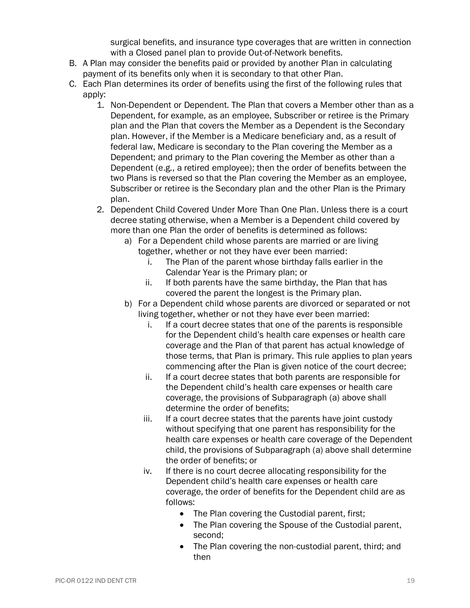surgical benefits, and insurance type coverages that are written in connection with a Closed panel plan to provide Out-of-Network benefits.

- B. A Plan may consider the benefits paid or provided by another Plan in calculating payment of its benefits only when it is secondary to that other Plan.
- C. Each Plan determines its order of benefits using the first of the following rules that apply:
	- 1. Non-Dependent or Dependent. The Plan that covers a Member other than as a Dependent, for example, as an employee, Subscriber or retiree is the Primary plan and the Plan that covers the Member as a Dependent is the Secondary plan. However, if the Member is a Medicare beneficiary and, as a result of federal law, Medicare is secondary to the Plan covering the Member as a Dependent; and primary to the Plan covering the Member as other than a Dependent (e.g., a retired employee); then the order of benefits between the two Plans is reversed so that the Plan covering the Member as an employee, Subscriber or retiree is the Secondary plan and the other Plan is the Primary plan.
	- 2. Dependent Child Covered Under More Than One Plan. Unless there is a court decree stating otherwise, when a Member is a Dependent child covered by more than one Plan the order of benefits is determined as follows:
		- a) For a Dependent child whose parents are married or are living together, whether or not they have ever been married:
			- i. The Plan of the parent whose birthday falls earlier in the Calendar Year is the Primary plan; or
			- ii. If both parents have the same birthday, the Plan that has covered the parent the longest is the Primary plan.
		- b) For a Dependent child whose parents are divorced or separated or not living together, whether or not they have ever been married:
			- i. If a court decree states that one of the parents is responsible for the Dependent child's health care expenses or health care coverage and the Plan of that parent has actual knowledge of those terms, that Plan is primary. This rule applies to plan years commencing after the Plan is given notice of the court decree;
			- ii. If a court decree states that both parents are responsible for the Dependent child's health care expenses or health care coverage, the provisions of Subparagraph (a) above shall determine the order of benefits;
			- iii. If a court decree states that the parents have joint custody without specifying that one parent has responsibility for the health care expenses or health care coverage of the Dependent child, the provisions of Subparagraph (a) above shall determine the order of benefits; or
			- iv. If there is no court decree allocating responsibility for the Dependent child's health care expenses or health care coverage, the order of benefits for the Dependent child are as follows:
				- The Plan covering the Custodial parent, first;
				- The Plan covering the Spouse of the Custodial parent, second;
				- The Plan covering the non-custodial parent, third; and then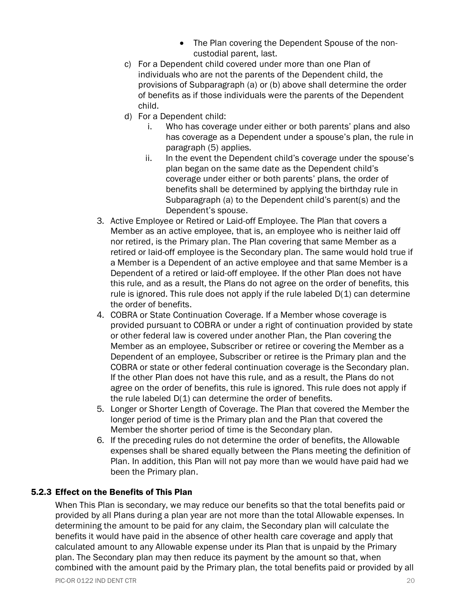- The Plan covering the Dependent Spouse of the noncustodial parent, last.
- c) For a Dependent child covered under more than one Plan of individuals who are not the parents of the Dependent child, the provisions of Subparagraph (a) or (b) above shall determine the order of benefits as if those individuals were the parents of the Dependent child.
- d) For a Dependent child:
	- i. Who has coverage under either or both parents' plans and also has coverage as a Dependent under a spouse's plan, the rule in paragraph (5) applies.
	- ii. In the event the Dependent child's coverage under the spouse's plan began on the same date as the Dependent child's coverage under either or both parents' plans, the order of benefits shall be determined by applying the birthday rule in Subparagraph (a) to the Dependent child's parent(s) and the Dependent's spouse.
- 3. Active Employee or Retired or Laid-off Employee. The Plan that covers a Member as an active employee, that is, an employee who is neither laid off nor retired, is the Primary plan. The Plan covering that same Member as a retired or laid-off employee is the Secondary plan. The same would hold true if a Member is a Dependent of an active employee and that same Member is a Dependent of a retired or laid-off employee. If the other Plan does not have this rule, and as a result, the Plans do not agree on the order of benefits, this rule is ignored. This rule does not apply if the rule labeled  $D(1)$  can determine the order of benefits.
- 4. COBRA or State Continuation Coverage. If a Member whose coverage is provided pursuant to COBRA or under a right of continuation provided by state or other federal law is covered under another Plan, the Plan covering the Member as an employee, Subscriber or retiree or covering the Member as a Dependent of an employee, Subscriber or retiree is the Primary plan and the COBRA or state or other federal continuation coverage is the Secondary plan. If the other Plan does not have this rule, and as a result, the Plans do not agree on the order of benefits, this rule is ignored. This rule does not apply if the rule labeled D(1) can determine the order of benefits.
- 5. Longer or Shorter Length of Coverage. The Plan that covered the Member the longer period of time is the Primary plan and the Plan that covered the Member the shorter period of time is the Secondary plan.
- 6. If the preceding rules do not determine the order of benefits, the Allowable expenses shall be shared equally between the Plans meeting the definition of Plan. In addition, this Plan will not pay more than we would have paid had we been the Primary plan.

#### <span id="page-24-0"></span>5.2.3 Effect on the Benefits of This Plan

When This Plan is secondary, we may reduce our benefits so that the total benefits paid or provided by all Plans during a plan year are not more than the total Allowable expenses. In determining the amount to be paid for any claim, the Secondary plan will calculate the benefits it would have paid in the absence of other health care coverage and apply that calculated amount to any Allowable expense under its Plan that is unpaid by the Primary plan. The Secondary plan may then reduce its payment by the amount so that, when combined with the amount paid by the Primary plan, the total benefits paid or provided by all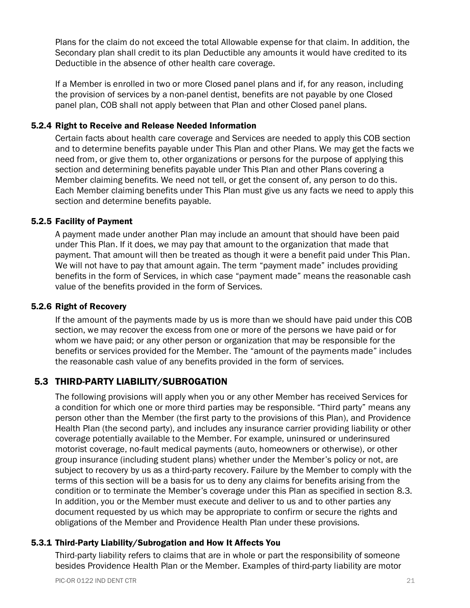Plans for the claim do not exceed the total Allowable expense for that claim. In addition, the Secondary plan shall credit to its plan Deductible any amounts it would have credited to its Deductible in the absence of other health care coverage.

If a Member is enrolled in two or more Closed panel plans and if, for any reason, including the provision of services by a non-panel dentist, benefits are not payable by one Closed panel plan, COB shall not apply between that Plan and other Closed panel plans.

#### <span id="page-25-0"></span>5.2.4 Right to Receive and Release Needed Information

Certain facts about health care coverage and Services are needed to apply this COB section and to determine benefits payable under This Plan and other Plans. We may get the facts we need from, or give them to, other organizations or persons for the purpose of applying this section and determining benefits payable under This Plan and other Plans covering a Member claiming benefits. We need not tell, or get the consent of, any person to do this. Each Member claiming benefits under This Plan must give us any facts we need to apply this section and determine benefits payable.

#### <span id="page-25-1"></span>5.2.5 Facility of Payment

A payment made under another Plan may include an amount that should have been paid under This Plan. If it does, we may pay that amount to the organization that made that payment. That amount will then be treated as though it were a benefit paid under This Plan. We will not have to pay that amount again. The term "payment made" includes providing benefits in the form of Services, in which case "payment made" means the reasonable cash value of the benefits provided in the form of Services.

#### <span id="page-25-2"></span>5.2.6 Right of Recovery

If the amount of the payments made by us is more than we should have paid under this COB section, we may recover the excess from one or more of the persons we have paid or for whom we have paid; or any other person or organization that may be responsible for the benefits or services provided for the Member. The "amount of the payments made" includes the reasonable cash value of any benefits provided in the form of services.

#### <span id="page-25-3"></span>5.3 THIRD-PARTY LIABILITY/SUBROGATION

The following provisions will apply when you or any other Member has received Services for a condition for which one or more third parties may be responsible. "Third party" means any person other than the Member (the first party to the provisions of this Plan), and Providence Health Plan (the second party), and includes any insurance carrier providing liability or other coverage potentially available to the Member. For example, uninsured or underinsured motorist coverage, no-fault medical payments (auto, homeowners or otherwise), or other group insurance (including student plans) whether under the Member's policy or not, are subject to recovery by us as a third-party recovery. Failure by the Member to comply with the terms of this section will be a basis for us to deny any claims for benefits arising from the condition or to terminate the Member's coverage under this Plan as specified in section 8.3. In addition, you or the Member must execute and deliver to us and to other parties any document requested by us which may be appropriate to confirm or secure the rights and obligations of the Member and Providence Health Plan under these provisions.

#### <span id="page-25-4"></span>5.3.1 Third-Party Liability/Subrogation and How It Affects You

Third-party liability refers to claims that are in whole or part the responsibility of someone besides Providence Health Plan or the Member. Examples of third-party liability are motor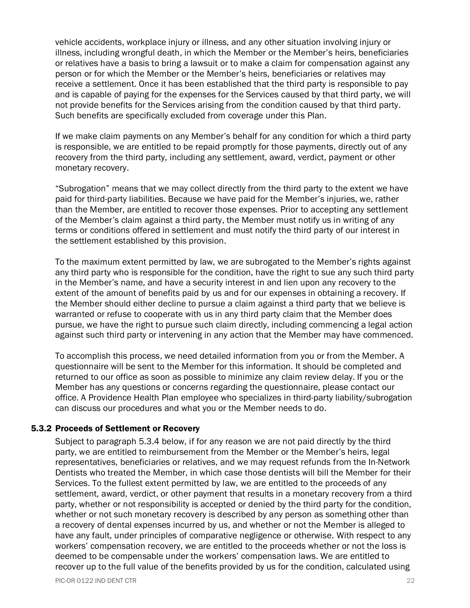vehicle accidents, workplace injury or illness, and any other situation involving injury or illness, including wrongful death, in which the Member or the Member's heirs, beneficiaries or relatives have a basis to bring a lawsuit or to make a claim for compensation against any person or for which the Member or the Member's heirs, beneficiaries or relatives may receive a settlement. Once it has been established that the third party is responsible to pay and is capable of paying for the expenses for the Services caused by that third party, we will not provide benefits for the Services arising from the condition caused by that third party. Such benefits are specifically excluded from coverage under this Plan.

If we make claim payments on any Member's behalf for any condition for which a third party is responsible, we are entitled to be repaid promptly for those payments, directly out of any recovery from the third party, including any settlement, award, verdict, payment or other monetary recovery.

"Subrogation" means that we may collect directly from the third party to the extent we have paid for third-party liabilities. Because we have paid for the Member's injuries, we, rather than the Member, are entitled to recover those expenses. Prior to accepting any settlement of the Member's claim against a third party, the Member must notify us in writing of any terms or conditions offered in settlement and must notify the third party of our interest in the settlement established by this provision.

To the maximum extent permitted by law, we are subrogated to the Member's rights against any third party who is responsible for the condition, have the right to sue any such third party in the Member's name, and have a security interest in and lien upon any recovery to the extent of the amount of benefits paid by us and for our expenses in obtaining a recovery. If the Member should either decline to pursue a claim against a third party that we believe is warranted or refuse to cooperate with us in any third party claim that the Member does pursue, we have the right to pursue such claim directly, including commencing a legal action against such third party or intervening in any action that the Member may have commenced.

To accomplish this process, we need detailed information from you or from the Member. A questionnaire will be sent to the Member for this information. It should be completed and returned to our office as soon as possible to minimize any claim review delay. If you or the Member has any questions or concerns regarding the questionnaire, please contact our office. A Providence Health Plan employee who specializes in third-party liability/subrogation can discuss our procedures and what you or the Member needs to do.

#### <span id="page-26-0"></span>5.3.2 Proceeds of Settlement or Recovery

Subject to paragraph 5.3.4 below, if for any reason we are not paid directly by the third party, we are entitled to reimbursement from the Member or the Member's heirs, legal representatives, beneficiaries or relatives, and we may request refunds from the In-Network Dentists who treated the Member, in which case those dentists will bill the Member for their Services. To the fullest extent permitted by law, we are entitled to the proceeds of any settlement, award, verdict, or other payment that results in a monetary recovery from a third party, whether or not responsibility is accepted or denied by the third party for the condition, whether or not such monetary recovery is described by any person as something other than a recovery of dental expenses incurred by us, and whether or not the Member is alleged to have any fault, under principles of comparative negligence or otherwise. With respect to any workers' compensation recovery, we are entitled to the proceeds whether or not the loss is deemed to be compensable under the workers' compensation laws. We are entitled to recover up to the full value of the benefits provided by us for the condition, calculated using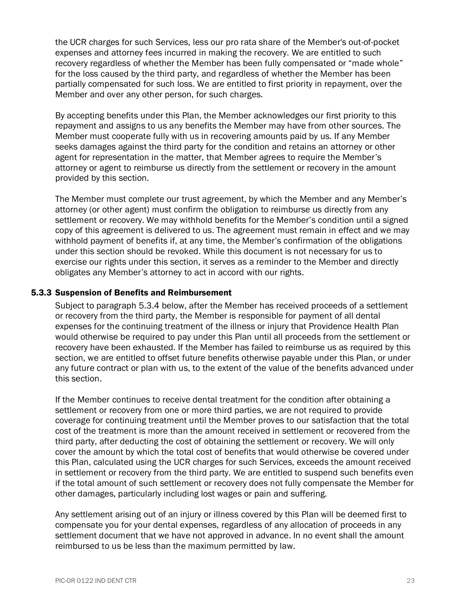the UCR charges for such Services, less our pro rata share of the Member's out-of-pocket expenses and attorney fees incurred in making the recovery. We are entitled to such recovery regardless of whether the Member has been fully compensated or "made whole" for the loss caused by the third party, and regardless of whether the Member has been partially compensated for such loss. We are entitled to first priority in repayment, over the Member and over any other person, for such charges.

By accepting benefits under this Plan, the Member acknowledges our first priority to this repayment and assigns to us any benefits the Member may have from other sources. The Member must cooperate fully with us in recovering amounts paid by us. If any Member seeks damages against the third party for the condition and retains an attorney or other agent for representation in the matter, that Member agrees to require the Member's attorney or agent to reimburse us directly from the settlement or recovery in the amount provided by this section.

The Member must complete our trust agreement, by which the Member and any Member's attorney (or other agent) must confirm the obligation to reimburse us directly from any settlement or recovery. We may withhold benefits for the Member's condition until a signed copy of this agreement is delivered to us. The agreement must remain in effect and we may withhold payment of benefits if, at any time, the Member's confirmation of the obligations under this section should be revoked. While this document is not necessary for us to exercise our rights under this section, it serves as a reminder to the Member and directly obligates any Member's attorney to act in accord with our rights.

#### <span id="page-27-0"></span>5.3.3 Suspension of Benefits and Reimbursement

Subject to paragraph 5.3.4 below, after the Member has received proceeds of a settlement or recovery from the third party, the Member is responsible for payment of all dental expenses for the continuing treatment of the illness or injury that Providence Health Plan would otherwise be required to pay under this Plan until all proceeds from the settlement or recovery have been exhausted. If the Member has failed to reimburse us as required by this section, we are entitled to offset future benefits otherwise payable under this Plan, or under any future contract or plan with us, to the extent of the value of the benefits advanced under this section.

If the Member continues to receive dental treatment for the condition after obtaining a settlement or recovery from one or more third parties, we are not required to provide coverage for continuing treatment until the Member proves to our satisfaction that the total cost of the treatment is more than the amount received in settlement or recovered from the third party, after deducting the cost of obtaining the settlement or recovery. We will only cover the amount by which the total cost of benefits that would otherwise be covered under this Plan, calculated using the UCR charges for such Services, exceeds the amount received in settlement or recovery from the third party. We are entitled to suspend such benefits even if the total amount of such settlement or recovery does not fully compensate the Member for other damages, particularly including lost wages or pain and suffering.

Any settlement arising out of an injury or illness covered by this Plan will be deemed first to compensate you for your dental expenses, regardless of any allocation of proceeds in any settlement document that we have not approved in advance. In no event shall the amount reimbursed to us be less than the maximum permitted by law.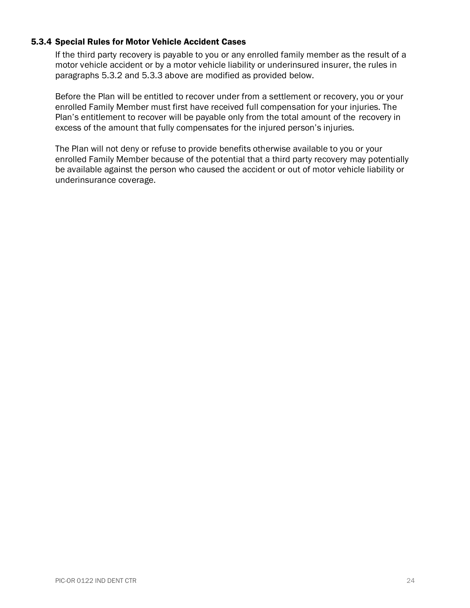#### <span id="page-28-0"></span>5.3.4 Special Rules for Motor Vehicle Accident Cases

If the third party recovery is payable to you or any enrolled family member as the result of a motor vehicle accident or by a motor vehicle liability or underinsured insurer, the rules in paragraphs 5.3.2 and 5.3.3 above are modified as provided below.

Before the Plan will be entitled to recover under from a settlement or recovery, you or your enrolled Family Member must first have received full compensation for your injuries. The Plan's entitlement to recover will be payable only from the total amount of the recovery in excess of the amount that fully compensates for the injured person's injuries.

The Plan will not deny or refuse to provide benefits otherwise available to you or your enrolled Family Member because of the potential that a third party recovery may potentially be available against the person who caused the accident or out of motor vehicle liability or underinsurance coverage.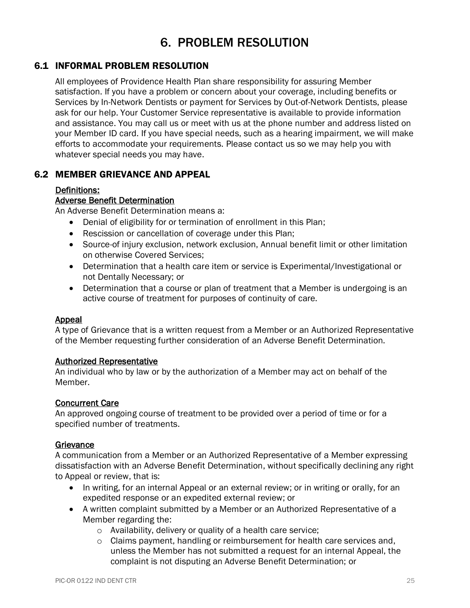# 6. PROBLEM RESOLUTION

## <span id="page-29-1"></span><span id="page-29-0"></span>6.1 INFORMAL PROBLEM RESOLUTION

All employees of Providence Health Plan share responsibility for assuring Member satisfaction. If you have a problem or concern about your coverage, including benefits or Services by In-Network Dentists or payment for Services by Out-of-Network Dentists, please ask for our help. Your Customer Service representative is available to provide information and assistance. You may call us or meet with us at the phone number and address listed on your Member ID card. If you have special needs, such as a hearing impairment, we will make efforts to accommodate your requirements. Please contact us so we may help you with whatever special needs you may have.

## <span id="page-29-2"></span>6.2 MEMBER GRIEVANCE AND APPEAL

#### Definitions:

#### Adverse Benefit Determination

An Adverse Benefit Determination means a:

- Denial of eligibility for or termination of enrollment in this Plan;
- Rescission or cancellation of coverage under this Plan;
- Source-of injury exclusion, network exclusion, Annual benefit limit or other limitation on otherwise Covered Services;
- Determination that a health care item or service is Experimental/Investigational or not Dentally Necessary; or
- Determination that a course or plan of treatment that a Member is undergoing is an active course of treatment for purposes of continuity of care.

#### Appeal

A type of Grievance that is a written request from a Member or an Authorized Representative of the Member requesting further consideration of an Adverse Benefit Determination.

#### Authorized Representative

An individual who by law or by the authorization of a Member may act on behalf of the Member.

#### Concurrent Care

An approved ongoing course of treatment to be provided over a period of time or for a specified number of treatments.

#### **Grievance**

A communication from a Member or an Authorized Representative of a Member expressing dissatisfaction with an Adverse Benefit Determination, without specifically declining any right to Appeal or review, that is:

- In writing, for an internal Appeal or an external review; or in writing or orally, for an expedited response or an expedited external review; or
- A written complaint submitted by a Member or an Authorized Representative of a Member regarding the:
	- o Availability, delivery or quality of a health care service;
	- o Claims payment, handling or reimbursement for health care services and, unless the Member has not submitted a request for an internal Appeal, the complaint is not disputing an Adverse Benefit Determination; or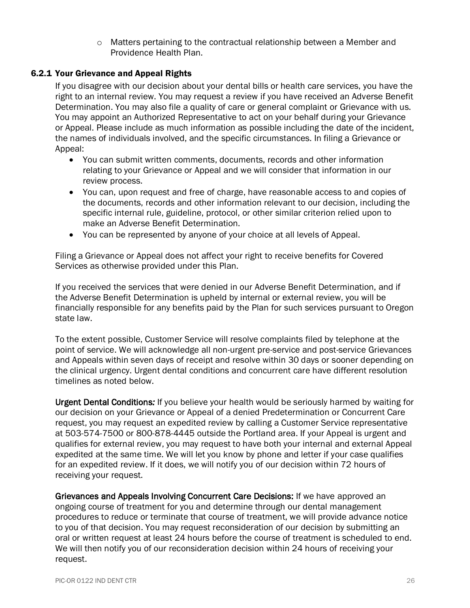$\circ$  Matters pertaining to the contractual relationship between a Member and Providence Health Plan.

#### <span id="page-30-0"></span>6.2.1 Your Grievance and Appeal Rights

If you disagree with our decision about your dental bills or health care services, you have the right to an internal review. You may request a review if you have received an Adverse Benefit Determination. You may also file a quality of care or general complaint or Grievance with us. You may appoint an Authorized Representative to act on your behalf during your Grievance or Appeal. Please include as much information as possible including the date of the incident, the names of individuals involved, and the specific circumstances. In filing a Grievance or Appeal:

- You can submit written comments, documents, records and other information relating to your Grievance or Appeal and we will consider that information in our review process.
- You can, upon request and free of charge, have reasonable access to and copies of the documents, records and other information relevant to our decision, including the specific internal rule, guideline, protocol, or other similar criterion relied upon to make an Adverse Benefit Determination.
- You can be represented by anyone of your choice at all levels of Appeal.

Filing a Grievance or Appeal does not affect your right to receive benefits for Covered Services as otherwise provided under this Plan.

If you received the services that were denied in our Adverse Benefit Determination, and if the Adverse Benefit Determination is upheld by internal or external review, you will be financially responsible for any benefits paid by the Plan for such services pursuant to Oregon state law.

To the extent possible, Customer Service will resolve complaints filed by telephone at the point of service. We will acknowledge all non-urgent pre-service and post-service Grievances and Appeals within seven days of receipt and resolve within 30 days or sooner depending on the clinical urgency. Urgent dental conditions and concurrent care have different resolution timelines as noted below.

Urgent Dental Conditions*:* If you believe your health would be seriously harmed by waiting for our decision on your Grievance or Appeal of a denied Predetermination or Concurrent Care request, you may request an expedited review by calling a Customer Service representative at 503-574-7500 or 800-878-4445 outside the Portland area. If your Appeal is urgent and qualifies for external review, you may request to have both your internal and external Appeal expedited at the same time. We will let you know by phone and letter if your case qualifies for an expedited review. If it does, we will notify you of our decision within 72 hours of receiving your request.

Grievances and Appeals Involving Concurrent Care Decisions: If we have approved an ongoing course of treatment for you and determine through our dental management procedures to reduce or terminate that course of treatment, we will provide advance notice to you of that decision. You may request reconsideration of our decision by submitting an oral or written request at least 24 hours before the course of treatment is scheduled to end. We will then notify you of our reconsideration decision within 24 hours of receiving your request.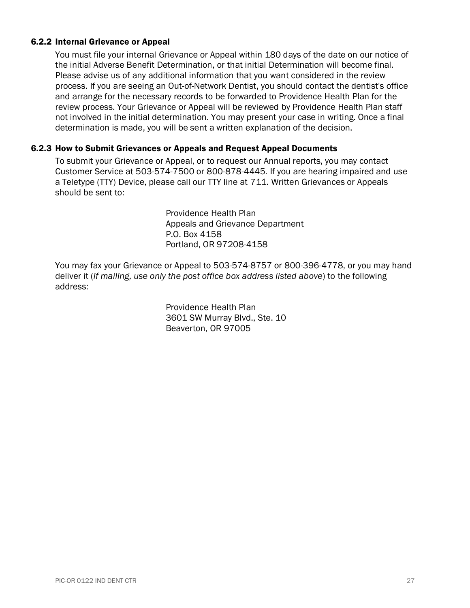#### <span id="page-31-0"></span>6.2.2 Internal Grievance or Appeal

You must file your internal Grievance or Appeal within 180 days of the date on our notice of the initial Adverse Benefit Determination, or that initial Determination will become final. Please advise us of any additional information that you want considered in the review process. If you are seeing an Out-of-Network Dentist, you should contact the dentist's office and arrange for the necessary records to be forwarded to Providence Health Plan for the review process. Your Grievance or Appeal will be reviewed by Providence Health Plan staff not involved in the initial determination. You may present your case in writing. Once a final determination is made, you will be sent a written explanation of the decision.

#### <span id="page-31-1"></span>6.2.3 How to Submit Grievances or Appeals and Request Appeal Documents

To submit your Grievance or Appeal, or to request our Annual reports, you may contact Customer Service at 503-574-7500 or 800-878-4445. If you are hearing impaired and use a Teletype (TTY) Device, please call our TTY line at 711. Written Grievances or Appeals should be sent to:

> Providence Health Plan Appeals and Grievance Department P.O. Box 4158 Portland, OR 97208-4158

You may fax your Grievance or Appeal to 503-574-8757 or 800-396-4778, or you may hand deliver it (*if mailing, use only the post office box address listed above*) to the following address:

> Providence Health Plan 3601 SW Murray Blvd., Ste. 10 Beaverton, OR 97005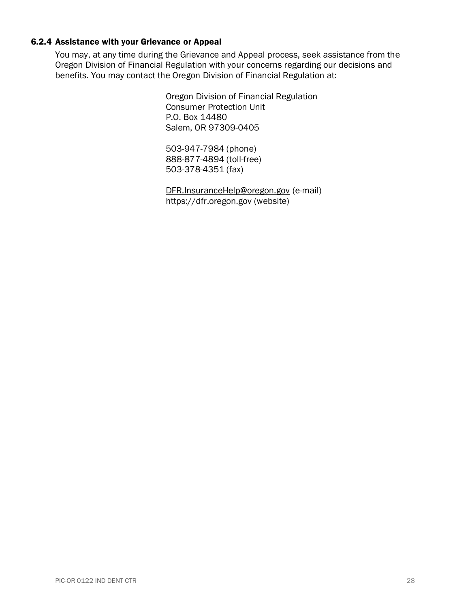# <span id="page-32-0"></span>6.2.4 Assistance with your Grievance or Appeal

You may, at any time during the Grievance and Appeal process, seek assistance from the Oregon Division of Financial Regulation with your concerns regarding our decisions and benefits. You may contact the Oregon Division of Financial Regulation at:

> Oregon Division of Financial Regulation Consumer Protection Unit P.O. Box 14480 Salem, OR 97309-0405

503-947-7984 (phone) 888-877-4894 (toll-free) 503-378-4351 (fax)

[DFR.InsuranceHelp@oregon.gov](mailto:DFR.InsuranceHelp@oregon.gov) (e-mail) [https://dfr.oregon.gov](https://dfr.oregon.gov/) (website)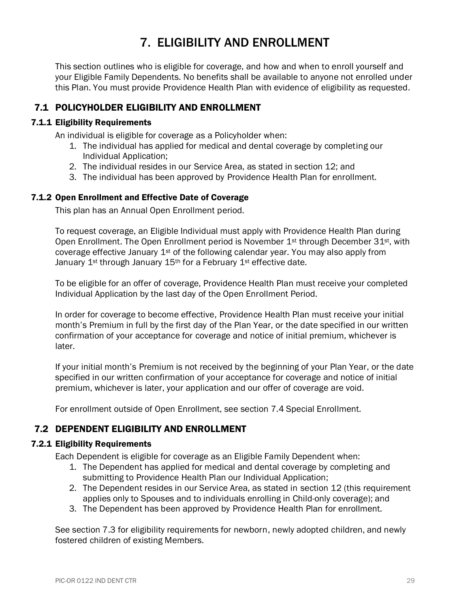# 7. ELIGIBILITY AND ENROLLMENT

<span id="page-33-0"></span>This section outlines who is eligible for coverage, and how and when to enroll yourself and your Eligible Family Dependents. No benefits shall be available to anyone not enrolled under this Plan. You must provide Providence Health Plan with evidence of eligibility as requested.

## <span id="page-33-1"></span>7.1 POLICYHOLDER ELIGIBILITY AND ENROLLMENT

#### <span id="page-33-2"></span>7.1.1 Eligibility Requirements

An individual is eligible for coverage as a Policyholder when:

- 1. The individual has applied for medical and dental coverage by completing our Individual Application;
- 2. The individual resides in our Service Area, as stated in section 12; and
- 3. The individual has been approved by Providence Health Plan for enrollment.

#### <span id="page-33-3"></span>7.1.2 Open Enrollment and Effective Date of Coverage

This plan has an Annual Open Enrollment period.

To request coverage, an Eligible Individual must apply with Providence Health Plan during Open Enrollment. The Open Enrollment period is November 1<sup>st</sup> through December 31<sup>st</sup>, with coverage effective January 1st of the following calendar year. You may also apply from January  $1^{st}$  through January  $15^{th}$  for a February  $1^{st}$  effective date.

To be eligible for an offer of coverage, Providence Health Plan must receive your completed Individual Application by the last day of the Open Enrollment Period.

In order for coverage to become effective, Providence Health Plan must receive your initial month's Premium in full by the first day of the Plan Year, or the date specified in our written confirmation of your acceptance for coverage and notice of initial premium, whichever is later.

If your initial month's Premium is not received by the beginning of your Plan Year, or the date specified in our written confirmation of your acceptance for coverage and notice of initial premium, whichever is later, your application and our offer of coverage are void.

For enrollment outside of Open Enrollment, see section 7.4 Special Enrollment.

# <span id="page-33-4"></span>7.2 DEPENDENT ELIGIBILITY AND ENROLLMENT

#### <span id="page-33-5"></span>7.2.1 Eligibility Requirements

Each Dependent is eligible for coverage as an Eligible Family Dependent when:

- 1. The Dependent has applied for medical and dental coverage by completing and submitting to Providence Health Plan our Individual Application;
- 2. The Dependent resides in our Service Area, as stated in section 12 (this requirement applies only to Spouses and to individuals enrolling in Child-only coverage); and
- 3. The Dependent has been approved by Providence Health Plan for enrollment.

See section 7.3 for eligibility requirements for newborn, newly adopted children, and newly fostered children of existing Members.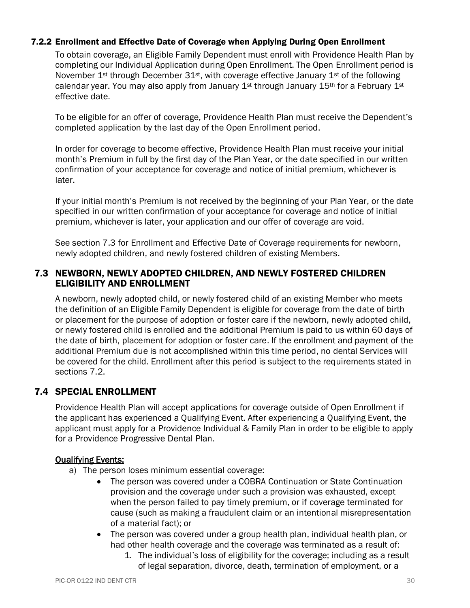#### <span id="page-34-0"></span>7.2.2 Enrollment and Effective Date of Coverage when Applying During Open Enrollment

To obtain coverage, an Eligible Family Dependent must enroll with Providence Health Plan by completing our Individual Application during Open Enrollment. The Open Enrollment period is November  $1^{st}$  through December  $31^{st}$ , with coverage effective January  $1^{st}$  of the following calendar year. You may also apply from January 1<sup>st</sup> through January 15<sup>th</sup> for a February 1<sup>st</sup> effective date.

To be eligible for an offer of coverage, Providence Health Plan must receive the Dependent's completed application by the last day of the Open Enrollment period.

In order for coverage to become effective, Providence Health Plan must receive your initial month's Premium in full by the first day of the Plan Year, or the date specified in our written confirmation of your acceptance for coverage and notice of initial premium, whichever is later.

If your initial month's Premium is not received by the beginning of your Plan Year, or the date specified in our written confirmation of your acceptance for coverage and notice of initial premium, whichever is later, your application and our offer of coverage are void.

See section 7.3 for Enrollment and Effective Date of Coverage requirements for newborn, newly adopted children, and newly fostered children of existing Members.

## <span id="page-34-1"></span>7.3 NEWBORN, NEWLY ADOPTED CHILDREN, AND NEWLY FOSTERED CHILDREN ELIGIBILITY AND ENROLLMENT

A newborn, newly adopted child, or newly fostered child of an existing Member who meets the definition of an Eligible Family Dependent is eligible for coverage from the date of birth or placement for the purpose of adoption or foster care if the newborn, newly adopted child, or newly fostered child is enrolled and the additional Premium is paid to us within 60 days of the date of birth, placement for adoption or foster care. If the enrollment and payment of the additional Premium due is not accomplished within this time period, no dental Services will be covered for the child. Enrollment after this period is subject to the requirements stated in sections 7.2.

# <span id="page-34-2"></span>7.4 SPECIAL ENROLLMENT

Providence Health Plan will accept applications for coverage outside of Open Enrollment if the applicant has experienced a Qualifying Event. After experiencing a Qualifying Event, the applicant must apply for a Providence Individual & Family Plan in order to be eligible to apply for a Providence Progressive Dental Plan.

#### Qualifying Events:

- a) The person loses minimum essential coverage:
	- The person was covered under a COBRA Continuation or State Continuation provision and the coverage under such a provision was exhausted, except when the person failed to pay timely premium, or if coverage terminated for cause (such as making a fraudulent claim or an intentional misrepresentation of a material fact); or
	- The person was covered under a group health plan, individual health plan, or had other health coverage and the coverage was terminated as a result of:
		- 1. The individual's loss of eligibility for the coverage; including as a result of legal separation, divorce, death, termination of employment, or a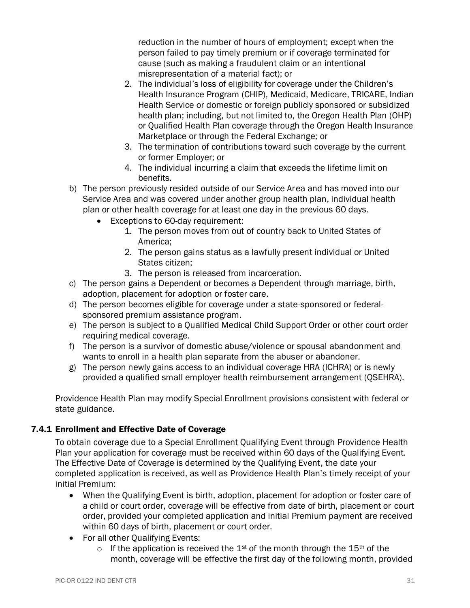reduction in the number of hours of employment; except when the person failed to pay timely premium or if coverage terminated for cause (such as making a fraudulent claim or an intentional misrepresentation of a material fact); or

- 2. The individual's loss of eligibility for coverage under the Children's Health Insurance Program (CHIP), Medicaid, Medicare, TRICARE, Indian Health Service or domestic or foreign publicly sponsored or subsidized health plan; including, but not limited to, the Oregon Health Plan (OHP) or Qualified Health Plan coverage through the Oregon Health Insurance Marketplace or through the Federal Exchange; or
- 3. The termination of contributions toward such coverage by the current or former Employer; or
- 4. The individual incurring a claim that exceeds the lifetime limit on benefits.
- b) The person previously resided outside of our Service Area and has moved into our Service Area and was covered under another group health plan, individual health plan or other health coverage for at least one day in the previous 60 days.
	- Exceptions to 60-day requirement:
		- 1. The person moves from out of country back to United States of America;
		- 2. The person gains status as a lawfully present individual or United States citizen;
		- 3. The person is released from incarceration.
- c) The person gains a Dependent or becomes a Dependent through marriage, birth, adoption, placement for adoption or foster care.
- d) The person becomes eligible for coverage under a state-sponsored or federalsponsored premium assistance program.
- e) The person is subject to a Qualified Medical Child Support Order or other court order requiring medical coverage.
- f) The person is a survivor of domestic abuse/violence or spousal abandonment and wants to enroll in a health plan separate from the abuser or abandoner.
- g) The person newly gains access to an individual coverage HRA (ICHRA) or is newly provided a qualified small employer health reimbursement arrangement (QSEHRA).

Providence Health Plan may modify Special Enrollment provisions consistent with federal or state guidance.

#### <span id="page-35-0"></span>7.4.1 Enrollment and Effective Date of Coverage

To obtain coverage due to a Special Enrollment Qualifying Event through Providence Health Plan your application for coverage must be received within 60 days of the Qualifying Event. The Effective Date of Coverage is determined by the Qualifying Event, the date your completed application is received, as well as Providence Health Plan's timely receipt of your initial Premium:

- When the Qualifying Event is birth, adoption, placement for adoption or foster care of a child or court order, coverage will be effective from date of birth, placement or court order, provided your completed application and initial Premium payment are received within 60 days of birth, placement or court order.
- For all other Qualifying Events:
	- $\circ$  If the application is received the 1<sup>st</sup> of the month through the 15<sup>th</sup> of the month, coverage will be effective the first day of the following month, provided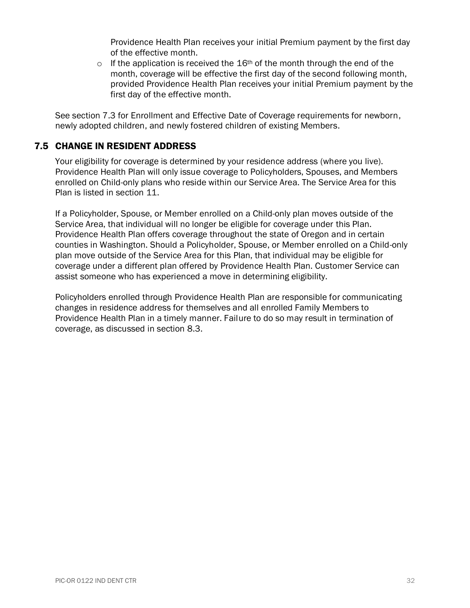Providence Health Plan receives your initial Premium payment by the first day of the effective month.

 $\circ$  If the application is received the 16<sup>th</sup> of the month through the end of the month, coverage will be effective the first day of the second following month, provided Providence Health Plan receives your initial Premium payment by the first day of the effective month.

See section 7.3 for Enrollment and Effective Date of Coverage requirements for newborn, newly adopted children, and newly fostered children of existing Members.

## <span id="page-36-0"></span>7.5 CHANGE IN RESIDENT ADDRESS

Your eligibility for coverage is determined by your residence address (where you live). Providence Health Plan will only issue coverage to Policyholders, Spouses, and Members enrolled on Child-only plans who reside within our Service Area. The Service Area for this Plan is listed in section 11.

If a Policyholder, Spouse, or Member enrolled on a Child-only plan moves outside of the Service Area, that individual will no longer be eligible for coverage under this Plan. Providence Health Plan offers coverage throughout the state of Oregon and in certain counties in Washington. Should a Policyholder, Spouse, or Member enrolled on a Child-only plan move outside of the Service Area for this Plan, that individual may be eligible for coverage under a different plan offered by Providence Health Plan. Customer Service can assist someone who has experienced a move in determining eligibility.

Policyholders enrolled through Providence Health Plan are responsible for communicating changes in residence address for themselves and all enrolled Family Members to Providence Health Plan in a timely manner. Failure to do so may result in termination of coverage, as discussed in section 8.3.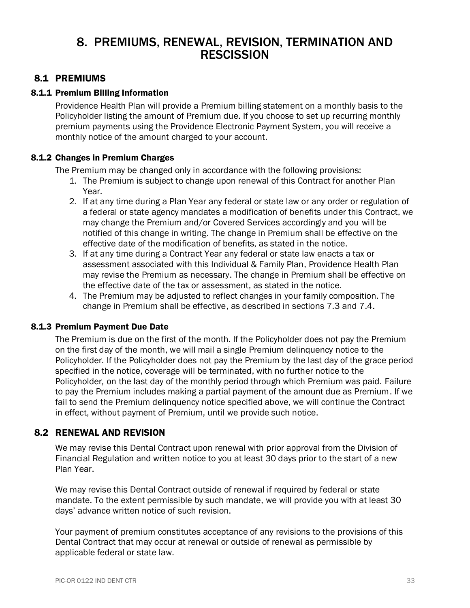# <span id="page-37-0"></span>8. PREMIUMS, RENEWAL, REVISION, TERMINATION AND **RESCISSION**

## <span id="page-37-1"></span>8.1 PREMIUMS

#### <span id="page-37-2"></span>8.1.1 Premium Billing Information

Providence Health Plan will provide a Premium billing statement on a monthly basis to the Policyholder listing the amount of Premium due. If you choose to set up recurring monthly premium payments using the Providence Electronic Payment System, you will receive a monthly notice of the amount charged to your account.

#### <span id="page-37-3"></span>8.1.2 Changes in Premium Charges

The Premium may be changed only in accordance with the following provisions:

- 1. The Premium is subject to change upon renewal of this Contract for another Plan Year.
- 2. If at any time during a Plan Year any federal or state law or any order or regulation of a federal or state agency mandates a modification of benefits under this Contract, we may change the Premium and/or Covered Services accordingly and you will be notified of this change in writing. The change in Premium shall be effective on the effective date of the modification of benefits, as stated in the notice.
- 3. If at any time during a Contract Year any federal or state law enacts a tax or assessment associated with this Individual & Family Plan, Providence Health Plan may revise the Premium as necessary. The change in Premium shall be effective on the effective date of the tax or assessment, as stated in the notice.
- 4. The Premium may be adjusted to reflect changes in your family composition. The change in Premium shall be effective, as described in sections 7.3 and 7.4.

#### <span id="page-37-4"></span>8.1.3 Premium Payment Due Date

The Premium is due on the first of the month. If the Policyholder does not pay the Premium on the first day of the month, we will mail a single Premium delinquency notice to the Policyholder*.* If the Policyholder does not pay the Premium by the last day of the grace period specified in the notice, coverage will be terminated, with no further notice to the Policyholder*,* on the last day of the monthly period through which Premium was paid. Failure to pay the Premium includes making a partial payment of the amount due as Premium. If we fail to send the Premium delinquency notice specified above, we will continue the Contract in effect, without payment of Premium, until we provide such notice.

#### <span id="page-37-5"></span>8.2 RENEWAL AND REVISION

We may revise this Dental Contract upon renewal with prior approval from the Division of Financial Regulation and written notice to you at least 30 days prior to the start of a new Plan Year.

We may revise this Dental Contract outside of renewal if required by federal or state mandate. To the extent permissible by such mandate, we will provide you with at least 30 days' advance written notice of such revision.

Your payment of premium constitutes acceptance of any revisions to the provisions of this Dental Contract that may occur at renewal or outside of renewal as permissible by applicable federal or state law.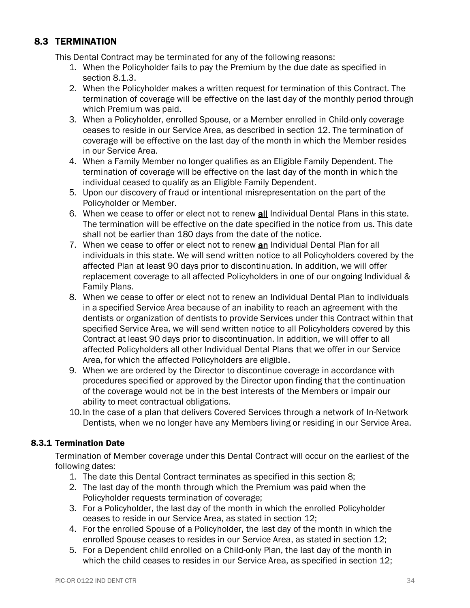# <span id="page-38-0"></span>8.3 TERMINATION

This Dental Contract may be terminated for any of the following reasons:

- 1. When the Policyholder fails to pay the Premium by the due date as specified in section 8.1.3.
- 2. When the Policyholder makes a written request for termination of this Contract. The termination of coverage will be effective on the last day of the monthly period through which Premium was paid.
- 3. When a Policyholder, enrolled Spouse, or a Member enrolled in Child-only coverage ceases to reside in our Service Area, as described in section 12. The termination of coverage will be effective on the last day of the month in which the Member resides in our Service Area.
- 4. When a Family Member no longer qualifies as an Eligible Family Dependent. The termination of coverage will be effective on the last day of the month in which the individual ceased to qualify as an Eligible Family Dependent.
- 5. Upon our discovery of fraud or intentional misrepresentation on the part of the Policyholder or Member.
- 6. When we cease to offer or elect not to renew all Individual Dental Plans in this state. The termination will be effective on the date specified in the notice from us. This date shall not be earlier than 180 days from the date of the notice.
- 7. When we cease to offer or elect not to renew an Individual Dental Plan for all individuals in this state. We will send written notice to all Policyholders covered by the affected Plan at least 90 days prior to discontinuation. In addition, we will offer replacement coverage to all affected Policyholders in one of our ongoing Individual & Family Plans.
- 8. When we cease to offer or elect not to renew an Individual Dental Plan to individuals in a specified Service Area because of an inability to reach an agreement with the dentists or organization of dentists to provide Services under this Contract within that specified Service Area, we will send written notice to all Policyholders covered by this Contract at least 90 days prior to discontinuation. In addition, we will offer to all affected Policyholders all other Individual Dental Plans that we offer in our Service Area, for which the affected Policyholders are eligible.
- 9. When we are ordered by the Director to discontinue coverage in accordance with procedures specified or approved by the Director upon finding that the continuation of the coverage would not be in the best interests of the Members or impair our ability to meet contractual obligations.
- 10.In the case of a plan that delivers Covered Services through a network of In-Network Dentists, when we no longer have any Members living or residing in our Service Area.

# <span id="page-38-1"></span>8.3.1 Termination Date

Termination of Member coverage under this Dental Contract will occur on the earliest of the following dates:

- 1. The date this Dental Contract terminates as specified in this section 8;
- 2. The last day of the month through which the Premium was paid when the Policyholder requests termination of coverage;
- 3. For a Policyholder, the last day of the month in which the enrolled Policyholder ceases to reside in our Service Area, as stated in section 12;
- 4. For the enrolled Spouse of a Policyholder, the last day of the month in which the enrolled Spouse ceases to resides in our Service Area, as stated in section 12;
- 5. For a Dependent child enrolled on a Child-only Plan, the last day of the month in which the child ceases to resides in our Service Area, as specified in section 12;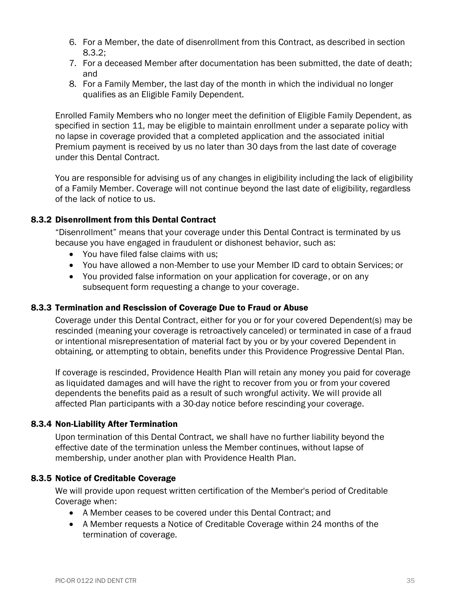- 6. For a Member, the date of disenrollment from this Contract, as described in section 8.3.2;
- 7. For a deceased Member after documentation has been submitted, the date of death; and
- 8. For a Family Member*,* the last day of the month in which the individual no longer qualifies as an Eligible Family Dependent.

Enrolled Family Members who no longer meet the definition of Eligible Family Dependent, as specified in section 11, may be eligible to maintain enrollment under a separate policy with no lapse in coverage provided that a completed application and the associated initial Premium payment is received by us no later than 30 days from the last date of coverage under this Dental Contract.

You are responsible for advising us of any changes in eligibility including the lack of eligibility of a Family Member. Coverage will not continue beyond the last date of eligibility, regardless of the lack of notice to us.

#### <span id="page-39-0"></span>8.3.2 Disenrollment from this Dental Contract

"Disenrollment" means that your coverage under this Dental Contract is terminated by us because you have engaged in fraudulent or dishonest behavior, such as:

- You have filed false claims with us;
- You have allowed a non-Member to use your Member ID card to obtain Services; or
- You provided false information on your application for coverage, or on any subsequent form requesting a change to your coverage.

#### <span id="page-39-1"></span>8.3.3 Termination and Rescission of Coverage Due to Fraud or Abuse

Coverage under this Dental Contract, either for you or for your covered Dependent(s) may be rescinded (meaning your coverage is retroactively canceled) or terminated in case of a fraud or intentional misrepresentation of material fact by you or by your covered Dependent in obtaining, or attempting to obtain, benefits under this Providence Progressive Dental Plan.

If coverage is rescinded, Providence Health Plan will retain any money you paid for coverage as liquidated damages and will have the right to recover from you or from your covered dependents the benefits paid as a result of such wrongful activity. We will provide all affected Plan participants with a 30-day notice before rescinding your coverage.

#### <span id="page-39-2"></span>8.3.4 Non-Liability After Termination

Upon termination of this Dental Contract, we shall have no further liability beyond the effective date of the termination unless the Member continues, without lapse of membership, under another plan with Providence Health Plan.

#### <span id="page-39-3"></span>8.3.5 Notice of Creditable Coverage

We will provide upon request written certification of the Member's period of Creditable Coverage when:

- A Member ceases to be covered under this Dental Contract; and
- A Member requests a Notice of Creditable Coverage within 24 months of the termination of coverage.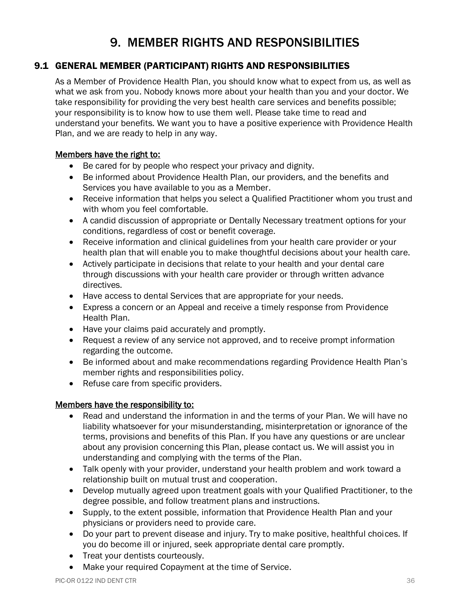# 9. MEMBER RIGHTS AND RESPONSIBILITIES

# <span id="page-40-1"></span><span id="page-40-0"></span>9.1 GENERAL MEMBER (PARTICIPANT) RIGHTS AND RESPONSIBILITIES

As a Member of Providence Health Plan, you should know what to expect from us, as well as what we ask from you. Nobody knows more about your health than you and your doctor. We take responsibility for providing the very best health care services and benefits possible; your responsibility is to know how to use them well. Please take time to read and understand your benefits. We want you to have a positive experience with Providence Health Plan, and we are ready to help in any way.

#### Members have the right to:

- Be cared for by people who respect your privacy and dignity.
- Be informed about Providence Health Plan, our providers, and the benefits and Services you have available to you as a Member.
- Receive information that helps you select a Qualified Practitioner whom you trust and with whom you feel comfortable.
- A candid discussion of appropriate or Dentally Necessary treatment options for your conditions, regardless of cost or benefit coverage.
- Receive information and clinical guidelines from your health care provider or your health plan that will enable you to make thoughtful decisions about your health care.
- Actively participate in decisions that relate to your health and your dental care through discussions with your health care provider or through written advance directives.
- Have access to dental Services that are appropriate for your needs.
- Express a concern or an Appeal and receive a timely response from Providence Health Plan.
- Have your claims paid accurately and promptly.
- Request a review of any service not approved, and to receive prompt information regarding the outcome.
- Be informed about and make recommendations regarding Providence Health Plan's member rights and responsibilities policy.
- Refuse care from specific providers.

#### Members have the responsibility to:

- Read and understand the information in and the terms of your Plan. We will have no liability whatsoever for your misunderstanding, misinterpretation or ignorance of the terms, provisions and benefits of this Plan. If you have any questions or are unclear about any provision concerning this Plan, please contact us. We will assist you in understanding and complying with the terms of the Plan.
- Talk openly with your provider, understand your health problem and work toward a relationship built on mutual trust and cooperation.
- Develop mutually agreed upon treatment goals with your Qualified Practitioner, to the degree possible, and follow treatment plans and instructions.
- Supply, to the extent possible, information that Providence Health Plan and your physicians or providers need to provide care.
- Do your part to prevent disease and injury. Try to make positive, healthful choices. If you do become ill or injured, seek appropriate dental care promptly.
- Treat your dentists courteously.
- Make your required Copayment at the time of Service.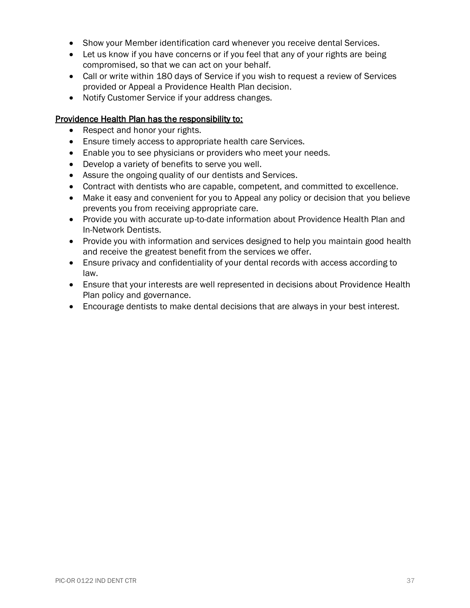- Show your Member identification card whenever you receive dental Services.
- Let us know if you have concerns or if you feel that any of your rights are being compromised, so that we can act on your behalf.
- Call or write within 180 days of Service if you wish to request a review of Services provided or Appeal a Providence Health Plan decision.
- Notify Customer Service if your address changes.

#### Providence Health Plan has the responsibility to:

- Respect and honor your rights.
- Ensure timely access to appropriate health care Services.
- Enable you to see physicians or providers who meet your needs.
- Develop a variety of benefits to serve you well.
- Assure the ongoing quality of our dentists and Services.
- Contract with dentists who are capable, competent, and committed to excellence.
- Make it easy and convenient for you to Appeal any policy or decision that you believe prevents you from receiving appropriate care.
- Provide you with accurate up-to-date information about Providence Health Plan and In-Network Dentists.
- Provide you with information and services designed to help you maintain good health and receive the greatest benefit from the services we offer.
- Ensure privacy and confidentiality of your dental records with access according to law.
- Ensure that your interests are well represented in decisions about Providence Health Plan policy and governance.
- Encourage dentists to make dental decisions that are always in your best interest.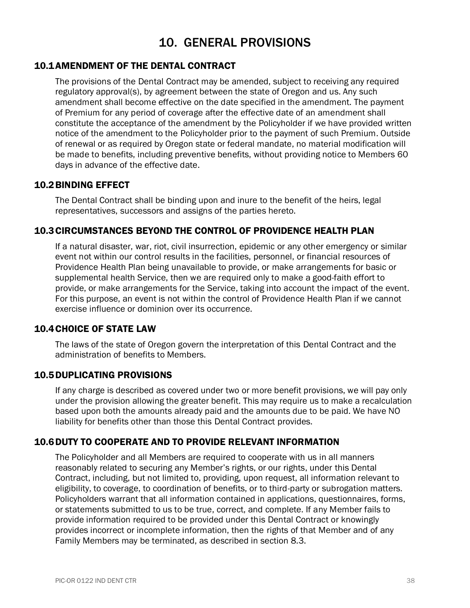# 10. GENERAL PROVISIONS

#### <span id="page-42-1"></span><span id="page-42-0"></span>10.1AMENDMENT OF THE DENTAL CONTRACT

The provisions of the Dental Contract may be amended, subject to receiving any required regulatory approval(s), by agreement between the state of Oregon and us. Any such amendment shall become effective on the date specified in the amendment. The payment of Premium for any period of coverage after the effective date of an amendment shall constitute the acceptance of the amendment by the Policyholder if we have provided written notice of the amendment to the Policyholder prior to the payment of such Premium. Outside of renewal or as required by Oregon state or federal mandate, no material modification will be made to benefits, including preventive benefits, without providing notice to Members 60 days in advance of the effective date.

#### <span id="page-42-2"></span>10.2BINDING EFFECT

The Dental Contract shall be binding upon and inure to the benefit of the heirs, legal representatives, successors and assigns of the parties hereto.

#### <span id="page-42-3"></span>10.3CIRCUMSTANCES BEYOND THE CONTROL OF PROVIDENCE HEALTH PLAN

If a natural disaster, war, riot, civil insurrection, epidemic or any other emergency or similar event not within our control results in the facilities, personnel, or financial resources of Providence Health Plan being unavailable to provide, or make arrangements for basic or supplemental health Service, then we are required only to make a good-faith effort to provide, or make arrangements for the Service, taking into account the impact of the event. For this purpose, an event is not within the control of Providence Health Plan if we cannot exercise influence or dominion over its occurrence.

#### <span id="page-42-4"></span>10.4CHOICE OF STATE LAW

The laws of the state of Oregon govern the interpretation of this Dental Contract and the administration of benefits to Members.

#### <span id="page-42-5"></span>10.5DUPLICATING PROVISIONS

If any charge is described as covered under two or more benefit provisions, we will pay only under the provision allowing the greater benefit. This may require us to make a recalculation based upon both the amounts already paid and the amounts due to be paid. We have NO liability for benefits other than those this Dental Contract provides.

#### <span id="page-42-6"></span>10.6DUTY TO COOPERATE AND TO PROVIDE RELEVANT INFORMATION

The Policyholder and all Members are required to cooperate with us in all manners reasonably related to securing any Member's rights, or our rights, under this Dental Contract, including, but not limited to, providing, upon request, all information relevant to eligibility, to coverage, to coordination of benefits, or to third-party or subrogation matters. Policyholders warrant that all information contained in applications, questionnaires, forms, or statements submitted to us to be true, correct, and complete. If any Member fails to provide information required to be provided under this Dental Contract or knowingly provides incorrect or incomplete information, then the rights of that Member and of any Family Members may be terminated, as described in section 8.3.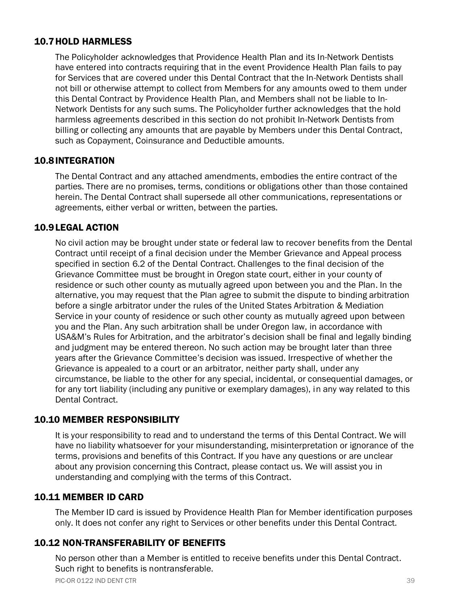## <span id="page-43-0"></span>10.7HOLD HARMLESS

The Policyholder acknowledges that Providence Health Plan and its In-Network Dentists have entered into contracts requiring that in the event Providence Health Plan fails to pay for Services that are covered under this Dental Contract that the In-Network Dentists shall not bill or otherwise attempt to collect from Members for any amounts owed to them under this Dental Contract by Providence Health Plan, and Members shall not be liable to In-Network Dentists for any such sums. The Policyholder further acknowledges that the hold harmless agreements described in this section do not prohibit In-Network Dentists from billing or collecting any amounts that are payable by Members under this Dental Contract, such as Copayment, Coinsurance and Deductible amounts.

#### <span id="page-43-1"></span>10.8INTEGRATION

The Dental Contract and any attached amendments, embodies the entire contract of the parties. There are no promises, terms, conditions or obligations other than those contained herein. The Dental Contract shall supersede all other communications, representations or agreements, either verbal or written, between the parties.

#### <span id="page-43-2"></span>10.9LEGAL ACTION

No civil action may be brought under state or federal law to recover benefits from the Dental Contract until receipt of a final decision under the Member Grievance and Appeal process specified in section 6.2 of the Dental Contract. Challenges to the final decision of the Grievance Committee must be brought in Oregon state court, either in your county of residence or such other county as mutually agreed upon between you and the Plan. In the alternative, you may request that the Plan agree to submit the dispute to binding arbitration before a single arbitrator under the rules of the United States Arbitration & Mediation Service in your county of residence or such other county as mutually agreed upon between you and the Plan. Any such arbitration shall be under Oregon law, in accordance with USA&M's Rules for Arbitration, and the arbitrator's decision shall be final and legally binding and judgment may be entered thereon. No such action may be brought later than three years after the Grievance Committee's decision was issued. Irrespective of whether the Grievance is appealed to a court or an arbitrator, neither party shall, under any circumstance, be liable to the other for any special, incidental, or consequential damages, or for any tort liability (including any punitive or exemplary damages), in any way related to this Dental Contract.

#### <span id="page-43-3"></span>10.10 MEMBER RESPONSIBILITY

It is your responsibility to read and to understand the terms of this Dental Contract. We will have no liability whatsoever for your misunderstanding, misinterpretation or ignorance of the terms, provisions and benefits of this Contract. If you have any questions or are unclear about any provision concerning this Contract, please contact us. We will assist you in understanding and complying with the terms of this Contract.

#### <span id="page-43-4"></span>10.11 MEMBER ID CARD

The Member ID card is issued by Providence Health Plan for Member identification purposes only. It does not confer any right to Services or other benefits under this Dental Contract.

#### <span id="page-43-5"></span>10.12 NON-TRANSFERABILITY OF BENEFITS

No person other than a Member is entitled to receive benefits under this Dental Contract. Such right to benefits is nontransferable.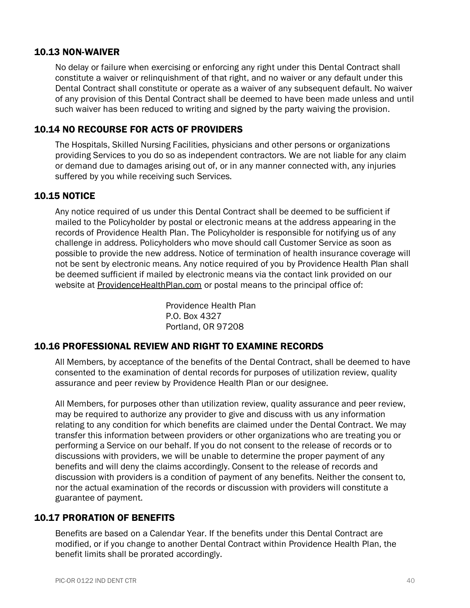#### <span id="page-44-0"></span>10.13 NON-WAIVER

No delay or failure when exercising or enforcing any right under this Dental Contract shall constitute a waiver or relinquishment of that right, and no waiver or any default under this Dental Contract shall constitute or operate as a waiver of any subsequent default. No waiver of any provision of this Dental Contract shall be deemed to have been made unless and until such waiver has been reduced to writing and signed by the party waiving the provision.

## <span id="page-44-1"></span>10.14 NO RECOURSE FOR ACTS OF PROVIDERS

The Hospitals, Skilled Nursing Facilities, physicians and other persons or organizations providing Services to you do so as independent contractors. We are not liable for any claim or demand due to damages arising out of, or in any manner connected with, any injuries suffered by you while receiving such Services.

#### <span id="page-44-2"></span>10.15 NOTICE

Any notice required of us under this Dental Contract shall be deemed to be sufficient if mailed to the Policyholder by postal or electronic means at the address appearing in the records of Providence Health Plan. The Policyholder is responsible for notifying us of any challenge in address. Policyholders who move should call Customer Service as soon as possible to provide the new address. Notice of termination of health insurance coverage will not be sent by electronic means. Any notice required of you by Providence Health Plan shall be deemed sufficient if mailed by electronic means via the contact link provided on our website at ProvidenceHealthPlan.com or postal means to the principal office of:

> Providence Health Plan P.O. Box 4327 Portland, OR 97208

# <span id="page-44-3"></span>10.16 PROFESSIONAL REVIEW AND RIGHT TO EXAMINE RECORDS

All Members, by acceptance of the benefits of the Dental Contract, shall be deemed to have consented to the examination of dental records for purposes of utilization review, quality assurance and peer review by Providence Health Plan or our designee.

All Members, for purposes other than utilization review, quality assurance and peer review, may be required to authorize any provider to give and discuss with us any information relating to any condition for which benefits are claimed under the Dental Contract. We may transfer this information between providers or other organizations who are treating you or performing a Service on our behalf. If you do not consent to the release of records or to discussions with providers, we will be unable to determine the proper payment of any benefits and will deny the claims accordingly. Consent to the release of records and discussion with providers is a condition of payment of any benefits. Neither the consent to, nor the actual examination of the records or discussion with providers will constitute a guarantee of payment.

# <span id="page-44-4"></span>10.17 PRORATION OF BENEFITS

Benefits are based on a Calendar Year. If the benefits under this Dental Contract are modified, or if you change to another Dental Contract within Providence Health Plan, the benefit limits shall be prorated accordingly.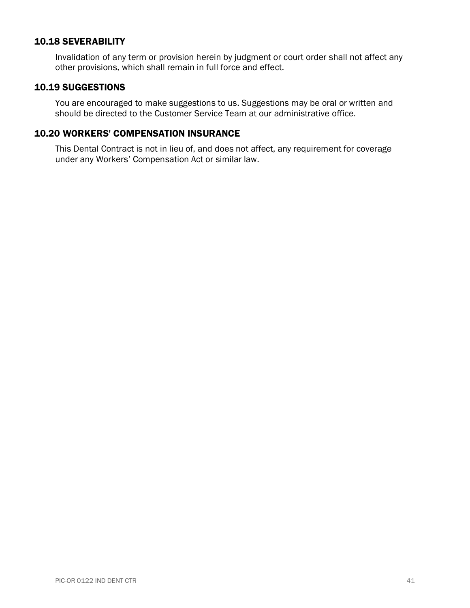#### <span id="page-45-0"></span>10.18 SEVERABILITY

Invalidation of any term or provision herein by judgment or court order shall not affect any other provisions, which shall remain in full force and effect.

#### <span id="page-45-1"></span>10.19 SUGGESTIONS

You are encouraged to make suggestions to us. Suggestions may be oral or written and should be directed to the Customer Service Team at our administrative office.

#### <span id="page-45-2"></span>10.20 WORKERS' COMPENSATION INSURANCE

This Dental Contract is not in lieu of, and does not affect, any requirement for coverage under any Workers' Compensation Act or similar law.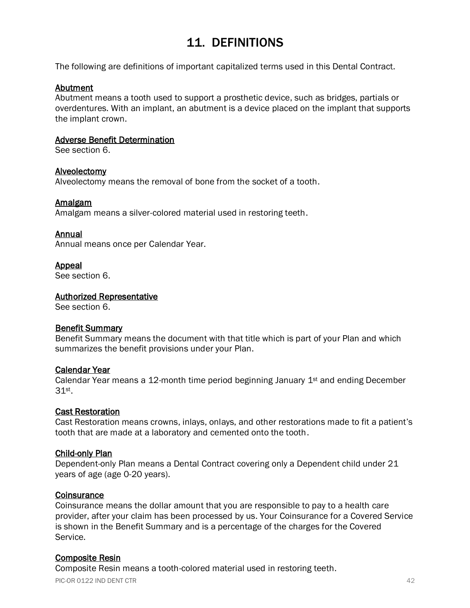# 11. DEFINITIONS

<span id="page-46-0"></span>The following are definitions of important capitalized terms used in this Dental Contract.

#### Abutment

Abutment means a tooth used to support a prosthetic device, such as bridges, partials or overdentures. With an implant, an abutment is a device placed on the implant that supports the implant crown.

#### Adverse Benefit Determination

See section 6.

#### Alveolectomy

Alveolectomy means the removal of bone from the socket of a tooth.

#### Amalgam

Amalgam means a silver-colored material used in restoring teeth.

#### Annual

Annual means once per Calendar Year.

#### Appeal

See section 6.

#### Authorized Representative

See section 6.

#### Benefit Summary

Benefit Summary means the document with that title which is part of your Plan and which summarizes the benefit provisions under your Plan.

#### Calendar Year

Calendar Year means a 12-month time period beginning January  $1<sup>st</sup>$  and ending December 31st .

#### Cast Restoration

Cast Restoration means crowns, inlays, onlays, and other restorations made to fit a patient's tooth that are made at a laboratory and cemented onto the tooth.

#### Child-only Plan

Dependent-only Plan means a Dental Contract covering only a Dependent child under 21 years of age (age 0-20 years).

#### **Coinsurance**

Coinsurance means the dollar amount that you are responsible to pay to a health care provider, after your claim has been processed by us. Your Coinsurance for a Covered Service is shown in the Benefit Summary and is a percentage of the charges for the Covered Service.

#### Composite Resin

Composite Resin means a tooth-colored material used in restoring teeth.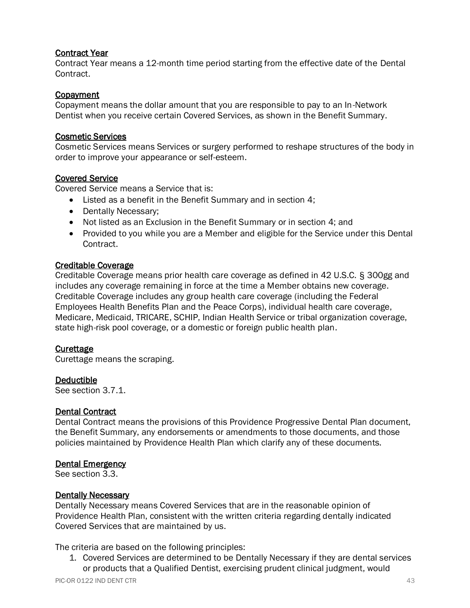#### Contract Year

Contract Year means a 12-month time period starting from the effective date of the Dental Contract.

#### **Copayment**

Copayment means the dollar amount that you are responsible to pay to an In-Network Dentist when you receive certain Covered Services, as shown in the Benefit Summary.

#### Cosmetic Services

Cosmetic Services means Services or surgery performed to reshape structures of the body in order to improve your appearance or self-esteem.

#### Covered Service

Covered Service means a Service that is:

- Listed as a benefit in the Benefit Summary and in section 4;
- Dentally Necessary;
- Not listed as an Exclusion in the Benefit Summary or in section 4; and
- Provided to you while you are a Member and eligible for the Service under this Dental Contract.

#### Creditable Coverage

Creditable Coverage means prior health care coverage as defined in 42 U.S.C. § 300gg and includes any coverage remaining in force at the time a Member obtains new coverage. Creditable Coverage includes any group health care coverage (including the Federal Employees Health Benefits Plan and the Peace Corps), individual health care coverage, Medicare, Medicaid, TRICARE, SCHIP, Indian Health Service or tribal organization coverage, state high-risk pool coverage, or a domestic or foreign public health plan.

#### **Curettage**

Curettage means the scraping.

#### Deductible

See section 3.7.1.

#### Dental Contract

Dental Contract means the provisions of this Providence Progressive Dental Plan document, the Benefit Summary, any endorsements or amendments to those documents, and those policies maintained by Providence Health Plan which clarify any of these documents.

#### Dental Emergency

See section 3.3.

#### Dentally Necessary

Dentally Necessary means Covered Services that are in the reasonable opinion of Providence Health Plan, consistent with the written criteria regarding dentally indicated Covered Services that are maintained by us.

The criteria are based on the following principles:

1. Covered Services are determined to be Dentally Necessary if they are dental services or products that a Qualified Dentist, exercising prudent clinical judgment, would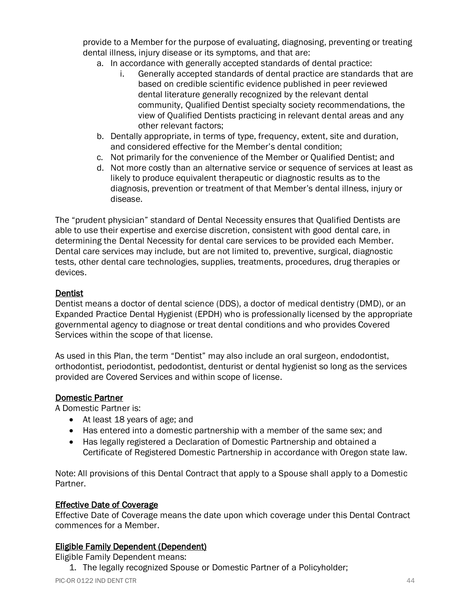provide to a Member for the purpose of evaluating, diagnosing, preventing or treating dental illness, injury disease or its symptoms, and that are:

- a. In accordance with generally accepted standards of dental practice:
	- i. Generally accepted standards of dental practice are standards that are based on credible scientific evidence published in peer reviewed dental literature generally recognized by the relevant dental community, Qualified Dentist specialty society recommendations, the view of Qualified Dentists practicing in relevant dental areas and any other relevant factors;
- b. Dentally appropriate, in terms of type, frequency, extent, site and duration, and considered effective for the Member's dental condition;
- c. Not primarily for the convenience of the Member or Qualified Dentist; and
- d. Not more costly than an alternative service or sequence of services at least as likely to produce equivalent therapeutic or diagnostic results as to the diagnosis, prevention or treatment of that Member's dental illness, injury or disease.

The "prudent physician" standard of Dental Necessity ensures that Qualified Dentists are able to use their expertise and exercise discretion, consistent with good dental care, in determining the Dental Necessity for dental care services to be provided each Member. Dental care services may include, but are not limited to, preventive, surgical, diagnostic tests, other dental care technologies, supplies, treatments, procedures, drug therapies or devices.

#### Dentist

Dentist means a doctor of dental science (DDS), a doctor of medical dentistry (DMD), or an Expanded Practice Dental Hygienist (EPDH) who is professionally licensed by the appropriate governmental agency to diagnose or treat dental conditions and who provides Covered Services within the scope of that license.

As used in this Plan, the term "Dentist" may also include an oral surgeon, endodontist, orthodontist, periodontist, pedodontist, denturist or dental hygienist so long as the services provided are Covered Services and within scope of license.

#### Domestic Partner

A Domestic Partner is:

- At least 18 years of age; and
- Has entered into a domestic partnership with a member of the same sex; and
- Has legally registered a Declaration of Domestic Partnership and obtained a Certificate of Registered Domestic Partnership in accordance with Oregon state law.

Note: All provisions of this Dental Contract that apply to a Spouse shall apply to a Domestic Partner.

#### Effective Date of Coverage

Effective Date of Coverage means the date upon which coverage under this Dental Contract commences for a Member.

#### Eligible Family Dependent (Dependent)

Eligible Family Dependent means:

1. The legally recognized Spouse or Domestic Partner of a Policyholder;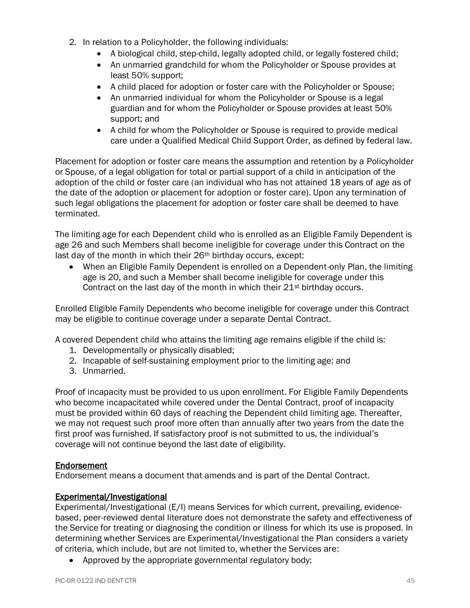- 2. In relation to a Policyholder, the following individuals:
	- A biological child, step-child, legally adopted child, or legally fostered child;
	- An unmarried grandchild for whom the Policyholder or Spouse provides at least 50% support;
	- A child placed for adoption or foster care with the Policyholder or Spouse;
	- An unmarried individual for whom the Policyholder or Spouse is a legal guardian and for whom the Policyholder or Spouse provides at least 50% support; and
	- A child for whom the Policyholder or Spouse is required to provide medical care under a Qualified Medical Child Support Order, as defined by federal law.

Placement for adoption or foster care means the assumption and retention by a Policyholder or Spouse, of a legal obligation for total or partial support of a child in anticipation of the adoption of the child or foster care (an individual who has not attained 18 years of age as of the date of the adoption or placement for adoption or foster care). Upon any termination of such legal obligations the placement for adoption or foster care shall be deemed to have terminated.

The limiting age for each Dependent child who is enrolled as an Eligible Family Dependent is age 26 and such Members shall become ineligible for coverage under this Contract on the last day of the month in which their 26<sup>th</sup> birthday occurs, except:

• When an Eligible Family Dependent is enrolled on a Dependent-only Plan, the limiting age is 20, and such a Member shall become ineligible for coverage under this Contract on the last day of the month in which their  $21<sup>st</sup>$  birthday occurs.

Enrolled Eligible Family Dependents who become ineligible for coverage under this Contract may be eligible to continue coverage under a separate Dental Contract.

A covered Dependent child who attains the limiting age remains eligible if the child is:

- 1. Developmentally or physically disabled;
- 2. Incapable of self-sustaining employment prior to the limiting age; and
- 3. Unmarried.

Proof of incapacity must be provided to us upon enrollment. For Eligible Family Dependents who become incapacitated while covered under the Dental Contract, proof of incapacity must be provided within 60 days of reaching the Dependent child limiting age. Thereafter, we may not request such proof more often than annually after two years from the date the first proof was furnished. If satisfactory proof is not submitted to us, the individual's coverage will not continue beyond the last date of eligibility.

#### Endorsement

Endorsement means a document that amends and is part of the Dental Contract.

#### Experimental/Investigational

Experimental/Investigational (E/I) means Services for which current, prevailing, evidencebased, peer-reviewed dental literature does not demonstrate the safety and effectiveness of the Service for treating or diagnosing the condition or illness for which its use is proposed. In determining whether Services are Experimental/Investigational the Plan considers a variety of criteria, which include, but are not limited to, whether the Services are:

• Approved by the appropriate governmental regulatory body;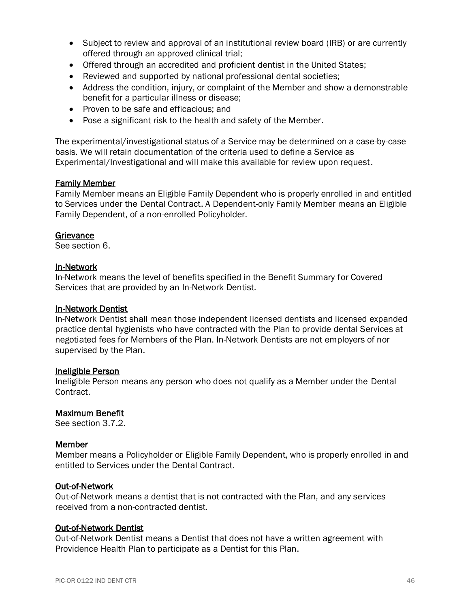- Subject to review and approval of an institutional review board (IRB) or are currently offered through an approved clinical trial;
- Offered through an accredited and proficient dentist in the United States;
- Reviewed and supported by national professional dental societies;
- Address the condition, injury, or complaint of the Member and show a demonstrable benefit for a particular illness or disease;
- Proven to be safe and efficacious; and
- Pose a significant risk to the health and safety of the Member.

The experimental/investigational status of a Service may be determined on a case-by-case basis. We will retain documentation of the criteria used to define a Service as Experimental/Investigational and will make this available for review upon request.

#### Family Member

Family Member means an Eligible Family Dependent who is properly enrolled in and entitled to Services under the Dental Contract. A Dependent-only Family Member means an Eligible Family Dependent, of a non-enrolled Policyholder.

#### **Grievance**

See section 6.

#### In-Network

In-Network means the level of benefits specified in the Benefit Summary for Covered Services that are provided by an In-Network Dentist.

#### In-Network Dentist

In-Network Dentist shall mean those independent licensed dentists and licensed expanded practice dental hygienists who have contracted with the Plan to provide dental Services at negotiated fees for Members of the Plan. In-Network Dentists are not employers of nor supervised by the Plan.

#### Ineligible Person

Ineligible Person means any person who does not qualify as a Member under the Dental Contract.

#### Maximum Benefit

See section 3.7.2.

#### Member

Member means a Policyholder or Eligible Family Dependent, who is properly enrolled in and entitled to Services under the Dental Contract.

#### Out-of-Network

Out-of-Network means a dentist that is not contracted with the Plan, and any services received from a non-contracted dentist.

#### Out-of-Network Dentist

Out-of-Network Dentist means a Dentist that does not have a written agreement with Providence Health Plan to participate as a Dentist for this Plan.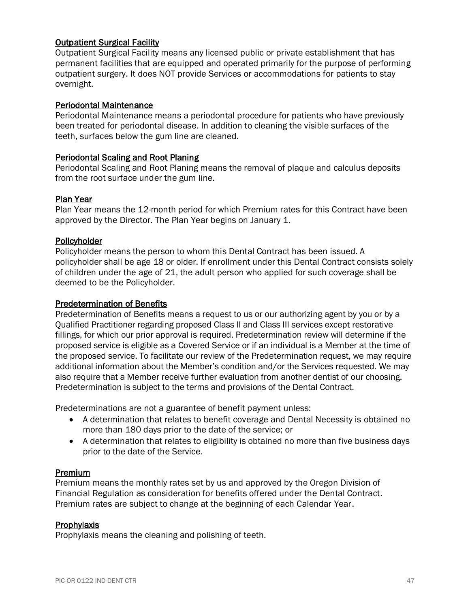#### Outpatient Surgical Facility

Outpatient Surgical Facility means any licensed public or private establishment that has permanent facilities that are equipped and operated primarily for the purpose of performing outpatient surgery. It does NOT provide Services or accommodations for patients to stay overnight.

#### Periodontal Maintenance

Periodontal Maintenance means a periodontal procedure for patients who have previously been treated for periodontal disease. In addition to cleaning the visible surfaces of the teeth, surfaces below the gum line are cleaned.

#### Periodontal Scaling and Root Planing

Periodontal Scaling and Root Planing means the removal of plaque and calculus deposits from the root surface under the gum line.

#### Plan Year

Plan Year means the 12-month period for which Premium rates for this Contract have been approved by the Director. The Plan Year begins on January 1.

#### **Policyholder**

Policyholder means the person to whom this Dental Contract has been issued. A policyholder shall be age 18 or older. If enrollment under this Dental Contract consists solely of children under the age of 21, the adult person who applied for such coverage shall be deemed to be the Policyholder.

#### Predetermination of Benefits

Predetermination of Benefits means a request to us or our authorizing agent by you or by a Qualified Practitioner regarding proposed Class II and Class III services except restorative fillings, for which our prior approval is required. Predetermination review will determine if the proposed service is eligible as a Covered Service or if an individual is a Member at the time of the proposed service. To facilitate our review of the Predetermination request, we may require additional information about the Member's condition and/or the Services requested. We may also require that a Member receive further evaluation from another dentist of our choosing. Predetermination is subject to the terms and provisions of the Dental Contract.

Predeterminations are not a guarantee of benefit payment unless:

- A determination that relates to benefit coverage and Dental Necessity is obtained no more than 180 days prior to the date of the service; or
- A determination that relates to eligibility is obtained no more than five business days prior to the date of the Service.

#### Premium

Premium means the monthly rates set by us and approved by the Oregon Division of Financial Regulation as consideration for benefits offered under the Dental Contract. Premium rates are subject to change at the beginning of each Calendar Year.

#### **Prophylaxis**

Prophylaxis means the cleaning and polishing of teeth.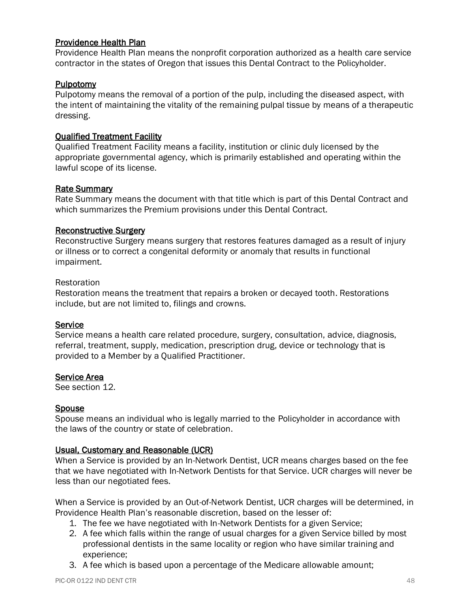#### Providence Health Plan

Providence Health Plan means the nonprofit corporation authorized as a health care service contractor in the states of Oregon that issues this Dental Contract to the Policyholder.

#### **Pulpotomy**

Pulpotomy means the removal of a portion of the pulp, including the diseased aspect, with the intent of maintaining the vitality of the remaining pulpal tissue by means of a therapeutic dressing.

#### Qualified Treatment Facility

Qualified Treatment Facility means a facility, institution or clinic duly licensed by the appropriate governmental agency, which is primarily established and operating within the lawful scope of its license.

#### Rate Summary

Rate Summary means the document with that title which is part of this Dental Contract and which summarizes the Premium provisions under this Dental Contract.

#### Reconstructive Surgery

Reconstructive Surgery means surgery that restores features damaged as a result of injury or illness or to correct a congenital deformity or anomaly that results in functional impairment.

#### Restoration

Restoration means the treatment that repairs a broken or decayed tooth. Restorations include, but are not limited to, filings and crowns.

#### **Service**

Service means a health care related procedure, surgery, consultation, advice, diagnosis, referral, treatment, supply, medication, prescription drug, device or technology that is provided to a Member by a Qualified Practitioner.

#### Service Area

See section 12.

#### Spouse

Spouse means an individual who is legally married to the Policyholder in accordance with the laws of the country or state of celebration.

#### Usual, Customary and Reasonable (UCR)

When a Service is provided by an In-Network Dentist, UCR means charges based on the fee that we have negotiated with In-Network Dentists for that Service. UCR charges will never be less than our negotiated fees.

When a Service is provided by an Out-of-Network Dentist, UCR charges will be determined, in Providence Health Plan's reasonable discretion, based on the lesser of:

- 1. The fee we have negotiated with In-Network Dentists for a given Service;
- 2. A fee which falls within the range of usual charges for a given Service billed by most professional dentists in the same locality or region who have similar training and experience;
- 3. A fee which is based upon a percentage of the Medicare allowable amount;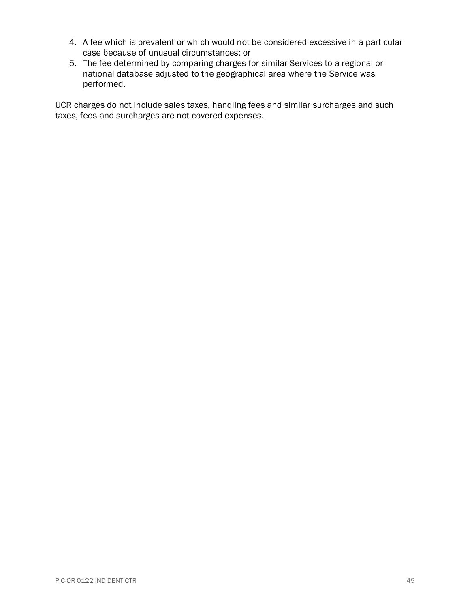- 4. A fee which is prevalent or which would not be considered excessive in a particular case because of unusual circumstances; or
- 5. The fee determined by comparing charges for similar Services to a regional or national database adjusted to the geographical area where the Service was performed.

UCR charges do not include sales taxes, handling fees and similar surcharges and such taxes, fees and surcharges are not covered expenses.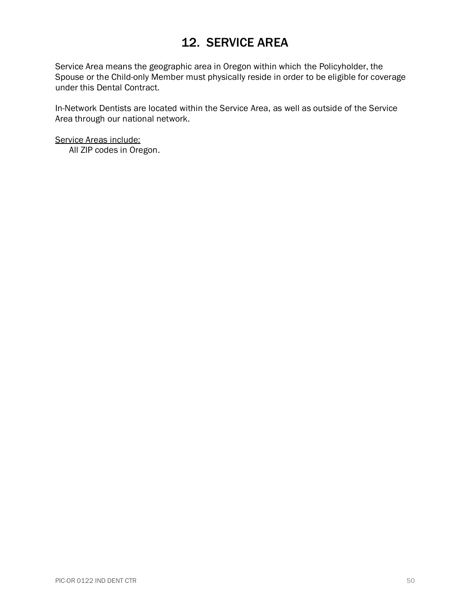# 12. SERVICE AREA

<span id="page-54-0"></span>Service Area means the geographic area in Oregon within which the Policyholder, the Spouse or the Child-only Member must physically reside in order to be eligible for coverage under this Dental Contract.

In-Network Dentists are located within the Service Area, as well as outside of the Service Area through our national network.

Service Areas include: All ZIP codes in Oregon.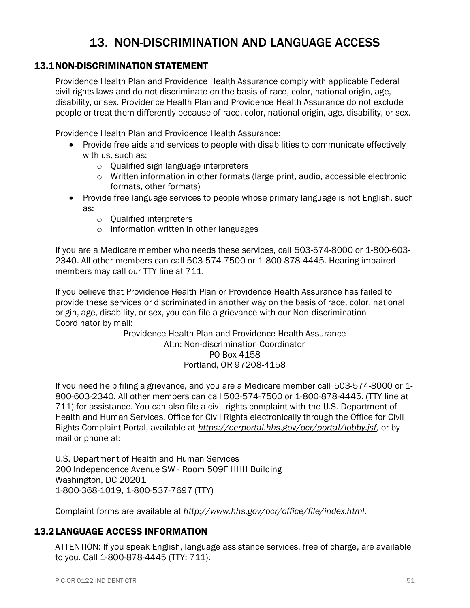# 13. NON-DISCRIMINATION AND LANGUAGE ACCESS

#### <span id="page-55-1"></span><span id="page-55-0"></span>13.1NON-DISCRIMINATION STATEMENT

Providence Health Plan and Providence Health Assurance comply with applicable Federal civil rights laws and do not discriminate on the basis of race, color, national origin, age, disability, or sex. Providence Health Plan and Providence Health Assurance do not exclude people or treat them differently because of race, color, national origin, age, disability, or sex.

Providence Health Plan and Providence Health Assurance:

- Provide free aids and services to people with disabilities to communicate effectively with us, such as:
	- o Qualified sign language interpreters
	- o Written information in other formats (large print, audio, accessible electronic formats, other formats)
- Provide free language services to people whose primary language is not English, such as:
	- o Qualified interpreters
	- o Information written in other languages

If you are a Medicare member who needs these services, call 503-574-8000 or 1-800-603- 2340. All other members can call 503-574-7500 or 1-800-878-4445. Hearing impaired members may call our TTY line at 711.

If you believe that Providence Health Plan or Providence Health Assurance has failed to provide these services or discriminated in another way on the basis of race, color, national origin, age, disability, or sex, you can file a grievance with our Non-discrimination Coordinator by mail:

> Providence Health Plan and Providence Health Assurance Attn: Non-discrimination Coordinator PO Box 4158 Portland, OR 97208-4158

If you need help filing a grievance, and you are a Medicare member call 503-574-8000 or 1- 800-603-2340. All other members can call 503-574-7500 or 1-800-878-4445. (TTY line at 711) for assistance. You can also file a civil rights complaint with the U.S. Department of Health and Human Services, Office for Civil Rights electronically through the Office for Civil Rights Complaint Portal, available at *[https://ocrportal.hhs.gov/ocr/portal/lobby.jsf,](https://ocrportal.hhs.gov/ocr/portal/lobby.jsf)* or by mail or phone at:

U.S. Department of Health and Human Services 200 Independence Avenue SW - Room 509F HHH Building Washington, DC 20201 1-800-368-1019, 1-800-537-7697 (TTY)

Complaint forms are available at *<http://www.hhs.gov/ocr/office/file/index.html.>*

#### <span id="page-55-2"></span>13.2LANGUAGE ACCESS INFORMATION

ATTENTION: If you speak English, language assistance services, free of charge, are available to you. Call 1-800-878-4445 (TTY: 711).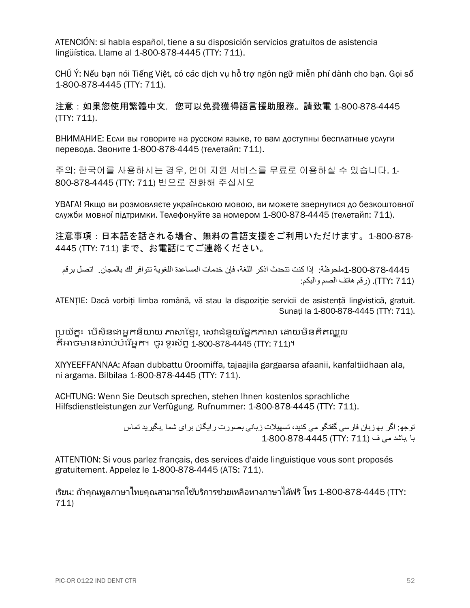ATENCIÓN: si habla español, tiene a su disposición servicios gratuitos de asistencia lingüística. Llame al 1-800-878-4445 (TTY: 711).

CHÚ Ý: Nếu bạn nói Tiếng Việt, có các dịch vụ hỗ trợ ngôn ngữ miễn phí dành cho bạn. Gọi số 1-800-878-4445 (TTY: 711).

注意:如果您使用繁體中文,您可以免費獲得語言援助服務。請致電 1-800-878-4445 (TTY: 711).

ВНИМАНИЕ: Если вы говорите на русском языке, то вам доступны бесплатные услуги перевода. Звоните 1-800-878-4445 (телетайп: 711).

주의: 한국어를 사용하시는 경우, 언어 지원 서비스를 무료로 이용하실 수 있습니다. 1- 800-878-4445 (TTY: 711) 번으로 전화해 주십시오

УВАГА! Якщо ви розмовляєте українською мовою, ви можете звернутися до безкоштовної служби мовної підтримки. Телефонуйте за номером 1-800-878-4445 (телетайп: 711).

注意事項:日本語を話される場合、無料の言語支援をご利用いただけます。1-800-878- 4445 (TTY: 711) まで、お電話にてご連絡ください。

 1-800-878-4445ملحوظة: إذا كنت تتحدث اذكر اللغة، فإن خدمات المساعدة اللغوية تتوافر لك بالمجان . اتصل برقم (711 :TTY(.( رقم هاتف الصم والبكم:

ATENȚIE: Dacă vorbiți limba română, vă stau la dispoziție servicii de asistență lingvistică, gratuit. Sunați la 1-800-878-4445 (TTY: 711).

ប្រយ័ត្ន៖ បើសិនជាអ្នកនិយាយ ភាសាខ្មែរ, សេវាជំនួយផ្នែកភាសា ដោយមិនគិតឈ្នួល គឺអាចមានសំរារ់រំបរ ើអ្នក។ ចូ រ ទូរស័ព្ទ1-800-878-4445 (TTY: 711)។

XIYYEEFFANNAA: Afaan dubbattu Oroomiffa, tajaajila gargaarsa afaanii, kanfaltiidhaan ala, ni argama. Bilbilaa 1-800-878-4445 (TTY: 711).

ACHTUNG: Wenn Sie Deutsch sprechen, stehen Ihnen kostenlos sprachliche Hilfsdienstleistungen zur Verfügung. Rufnummer: 1-800-878-4445 (TTY: 711).

> توجھ : اگر بھ زبان فارسی گفتگو می کنید، تسھیالت زبانی بصورت رایگان برای شما .بگیرید تماس با .باشد می ف (711 :TTY (1-800-878-4445

ATTENTION: Si vous parlez français, des services d'aide linguistique vous sont proposés gratuitement. Appelez le 1-800-878-4445 (ATS: 711).

ี่ เรียน: ถ้าคุณพูดภาษาไทยคุณสามารถใช้บริการช่วยเหลือทางภาษาได้ฟรี โทร 1-800-878-4445 (TTY: 711)